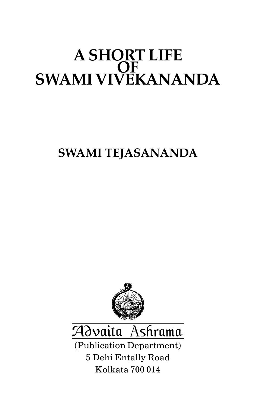# A SHORT LIFE OF SWAMI VIVEKANANDA

# SWAMI TEJASANANDA



# 93vaita Ashrama

(Publication Department) 5 Dehi Entally Road Kolkata 700 014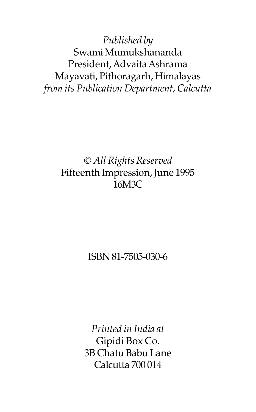Published by Swami Mumukshananda President, Advaita Ashrama Mayavati, Pithoragarh, Himalayas from its Publication Department, Calcutta

#### © All Rights Reserved Fifteenth Impression, June 1995 16M3C

#### ISBN 81-7505-030-6

Printed in India at Gipidi Box Co. 3B Chatu Babu Lane Calcutta 700 014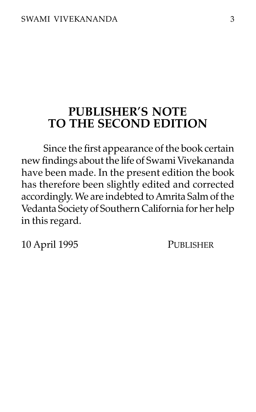#### PUBLISHER'S NOTE TO THE SECOND EDITION

Since the first appearance of the book certain new findings about the life of Swami Vivekananda have been made. In the present edition the book has therefore been slightly edited and corrected accordingly. We are indebted to Amrita Salm of the Vedanta Society of Southern California for her help in this regard.

10 April 1995 PUBLISHER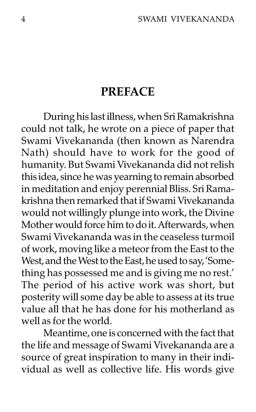#### **PREFACE**

During his last illness, when Sri Ramakrishna could not talk, he wrote on a piece of paper that Swami Vivekananda (then known as Narendra Nath) should have to work for the good of humanity. But Swami Vivekananda did not relish this idea, since he was yearning to remain absorbed in meditation and enjoy perennial Bliss. Sri Ramakrishna then remarked that if Swami Vivekananda would not willingly plunge into work, the Divine Mother would force him to do it. Afterwards, when Swami Vivekananda was in the ceaseless turmoil of work, moving like a meteor from the East to the West, and the West to the East, he used to say, 'Something has possessed me and is giving me no rest. The period of his active work was short, but posterity will some day be able to assess at its true value all that he has done for his motherland as well as for the world.

Meantime, one is concerned with the fact that the life and message of Swami Vivekananda are a source of great inspiration to many in their individual as well as collective life. His words give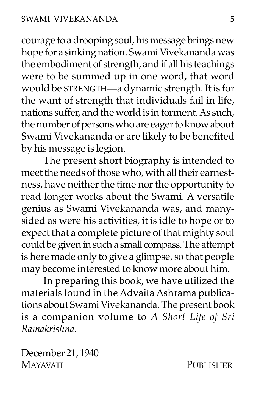courage to a drooping soul, his message brings new hope for a sinking nation. Swami Vivekananda was the embodiment of strength, and if all his teachings were to be summed up in one word, that word would be STRENGTH-a dynamic strength. It is for the want of strength that individuals fail in life, nations suffer, and the world is in torment. As such, the number of persons who are eager to know about Swami Vivekananda or are likely to be benefited by his message is legion.

The present short biography is intended to meet the needs of those who, with all their earnestness, have neither the time nor the opportunity to read longer works about the Swami. A versatile genius as Swami Vivekananda was, and manysided as were his activities, it is idle to hope or to expect that a complete picture of that mighty soul could be given in such a small compass. The attempt is here made only to give a glimpse, so that people may become interested to know more about him.

In preparing this book, we have utilized the materials found in the Advaita Ashrama publications about Swami Vivekananda. The present book is a companion volume to A Short Life of Sri Ramakrishna.

December 21, 1940 MAYAVATI PUBLISHER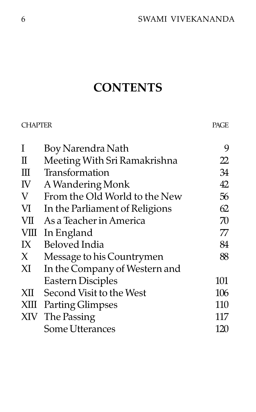# **CONTENTS**

| <b>CHAPTER</b> |                                | <b>PAGE</b> |
|----------------|--------------------------------|-------------|
| T              | Boy Narendra Nath              | 9           |
| Π              | Meeting With Sri Ramakrishna   | 22.         |
| Ш              | Transformation                 | 34          |
| IV             | A Wandering Monk               | 42          |
| V              | From the Old World to the New  | 56          |
| VI             | In the Parliament of Religions | 62          |
| VП             | As a Teacher in America        | 70          |
| VШ             | In England                     | 77          |
| IX             | Beloved India                  | 84          |
| X              | Message to his Countrymen      | 88          |
| XI             | In the Company of Western and  |             |
|                | Eastern Disciples              | 101         |
| XII            | Second Visit to the West       | 106         |
| XIII           | Parting Glimpses               | 110         |
|                | XIV The Passing                | 117         |
|                | Some Utterances                | 120         |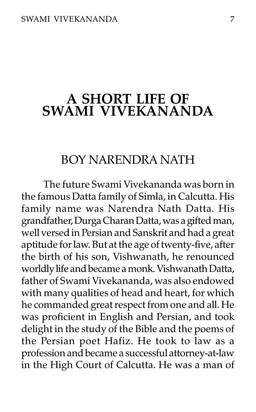## A SHORT LIFE OF SWAMI VIVEKANANDA

#### BOY NARENDRA NATH

The future Swami Vivekananda was born in the famous Datta family of Simla, in Calcutta. His family name was Narendra Nath Datta. His grandfather, Durga Charan Datta, was a gifted man, well versed in Persian and Sanskrit and had a great aptitude for law. But at the age of twenty-five, after the birth of his son, Vishwanath, he renounced worldly life and became a monk. Vishwanath Datta, father of Swami Vivekananda, was also endowed with many qualities of head and heart, for which he commanded great respect from one and all. He was proficient in English and Persian, and took delight in the study of the Bible and the poems of the Persian poet Hafiz. He took to law as a profession and became a successful attorney-at-law in the High Court of Calcutta. He was a man of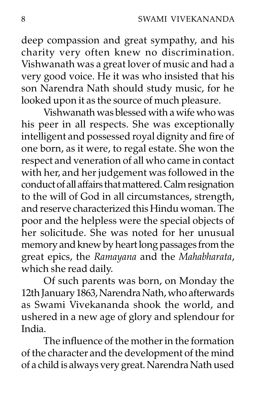deep compassion and great sympathy, and his charity very often knew no discrimination. Vishwanath was a great lover of music and had a very good voice. He it was who insisted that his son Narendra Nath should study music, for he looked upon it as the source of much pleasure.

Vishwanath was blessed with a wife who was his peer in all respects. She was exceptionally intelligent and possessed royal dignity and fire of one born, as it were, to regal estate. She won the respect and veneration of all who came in contact with her, and her judgement was followed in the conduct of all affairs that mattered. Calm resignation to the will of God in all circumstances, strength, and reserve characterized this Hindu woman. The poor and the helpless were the special objects of her solicitude. She was noted for her unusual memory and knew by heart long passages from the great epics, the Ramayana and the Mahabharata, which she read daily.

Of such parents was born, on Monday the 12th January 1863, Narendra Nath, who afterwards as Swami Vivekananda shook the world, and ushered in a new age of glory and splendour for India.

The influence of the mother in the formation of the character and the development of the mind of a child is always very great. Narendra Nath used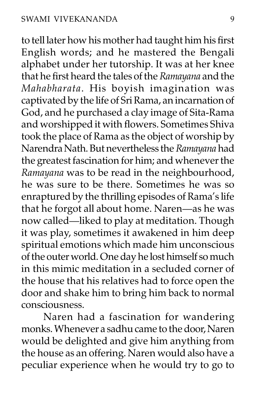to tell later how his mother had taught him his first English words; and he mastered the Bengali alphabet under her tutorship. It was at her knee that he first heard the tales of the Ramayana and the Mahabharata. His boyish imagination was captivated by the life of Sri Rama, an incarnation of God, and he purchased a clay image of Sita-Rama and worshipped it with flowers. Sometimes Shiva took the place of Rama as the object of worship by Narendra Nath. But nevertheless the Ramayana had the greatest fascination for him; and whenever the Ramayana was to be read in the neighbourhood, he was sure to be there. Sometimes he was so enraptured by the thrilling episodes of Rama's life that he forgot all about home. Naren-as he was now called—liked to play at meditation. Though it was play, sometimes it awakened in him deep spiritual emotions which made him unconscious of the outer world. One day he lost himself so much in this mimic meditation in a secluded corner of the house that his relatives had to force open the door and shake him to bring him back to normal consciousness.

Naren had a fascination for wandering monks. Whenever a sadhu came to the door, Naren would be delighted and give him anything from the house as an offering. Naren would also have a peculiar experience when he would try to go to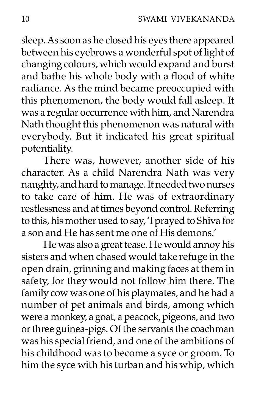sleep. As soon as he closed his eyes there appeared between his eyebrows a wonderful spot of light of changing colours, which would expand and burst and bathe his whole body with a flood of white radiance. As the mind became preoccupied with this phenomenon, the body would fall asleep. It was a regular occurrence with him, and Narendra Nath thought this phenomenon was natural with everybody. But it indicated his great spiritual potentiality.

There was, however, another side of his character. As a child Narendra Nath was very naughty, and hard to manage. It needed two nurses to take care of him. He was of extraordinary restlessness and at times beyond control. Referring to this, his mother used to say, 'I prayed to Shiva for a son and He has sent me one of His demons.

He was also a great tease. He would annoy his sisters and when chased would take refuge in the open drain, grinning and making faces at them in safety, for they would not follow him there. The family cow was one of his playmates, and he had a number of pet animals and birds, among which were a monkey, a goat, a peacock, pigeons, and two or three guinea-pigs. Of the servants the coachman was his special friend, and one of the ambitions of his childhood was to become a syce or groom. To him the syce with his turban and his whip, which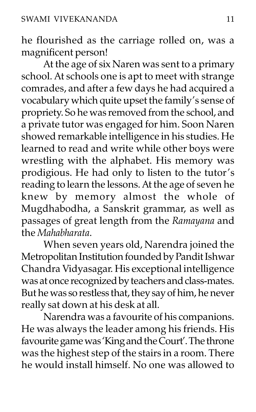he flourished as the carriage rolled on, was a magnificent person!

At the age of six Naren was sent to a primary school. At schools one is apt to meet with strange comrades, and after a few days he had acquired a vocabulary which quite upset the family's sense of propriety. So he was removed from the school, and a private tutor was engaged for him. Soon Naren showed remarkable intelligence in his studies. He learned to read and write while other boys were wrestling with the alphabet. His memory was prodigious. He had only to listen to the tutor's reading to learn the lessons. At the age of seven he knew by memory almost the whole of Mugdhabodha, a Sanskrit grammar, as well as passages of great length from the Ramayana and the Mahabharata.

When seven years old, Narendra joined the Metropolitan Institution founded by Pandit Ishwar Chandra Vidyasagar. His exceptional intelligence was at once recognized by teachers and class-mates. But he was so restless that, they say of him, he never really sat down at his desk at all.

Narendra was a favourite of his companions. He was always the leader among his friends. His favourite game was 'King and the Court'. The throne was the highest step of the stairs in a room. There he would install himself. No one was allowed to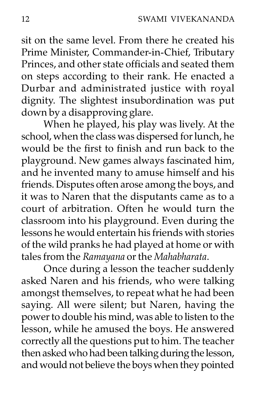sit on the same level. From there he created his Prime Minister, Commander-in-Chief, Tributary Princes, and other state officials and seated them on steps according to their rank. He enacted a Durbar and administrated justice with royal dignity. The slightest insubordination was put down by a disapproving glare.

When he played, his play was lively. At the school, when the class was dispersed for lunch, he would be the first to finish and run back to the playground. New games always fascinated him, and he invented many to amuse himself and his friends. Disputes often arose among the boys, and it was to Naren that the disputants came as to a court of arbitration. Often he would turn the classroom into his playground. Even during the lessons he would entertain his friends with stories of the wild pranks he had played at home or with tales from the Ramayana or the Mahabharata.

Once during a lesson the teacher suddenly asked Naren and his friends, who were talking amongst themselves, to repeat what he had been saying. All were silent; but Naren, having the power to double his mind, was able to listen to the lesson, while he amused the boys. He answered correctly all the questions put to him. The teacher then asked who had been talking during the lesson, and would not believe the boys when they pointed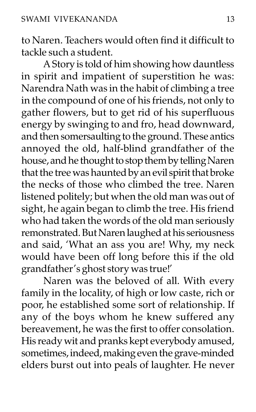to Naren. Teachers would often find it difficult to tackle such a student.

A Story is told of him showing how dauntless in spirit and impatient of superstition he was: Narendra Nath was in the habit of climbing a tree in the compound of one of his friends, not only to gather flowers, but to get rid of his superfluous energy by swinging to and fro, head downward, and then somersaulting to the ground. These antics annoyed the old, half-blind grandfather of the house, and he thought to stop them by telling Naren that the tree was haunted by an evil spirit that broke the necks of those who climbed the tree. Naren listened politely; but when the old man was out of sight, he again began to climb the tree. His friend who had taken the words of the old man seriously remonstrated. But Naren laughed at his seriousness and said, ëWhat an ass you are! Why, my neck would have been off long before this if the old grandfather's ghost story was true!'

Naren was the beloved of all. With every family in the locality, of high or low caste, rich or poor, he established some sort of relationship. If any of the boys whom he knew suffered any bereavement, he was the first to offer consolation. His ready wit and pranks kept everybody amused, sometimes, indeed, making even the grave-minded elders burst out into peals of laughter. He never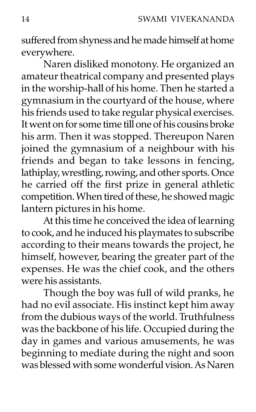suffered from shyness and he made himself at home everywhere.

Naren disliked monotony. He organized an amateur theatrical company and presented plays in the worship-hall of his home. Then he started a gymnasium in the courtyard of the house, where his friends used to take regular physical exercises. It went on for some time till one of his cousins broke his arm. Then it was stopped. Thereupon Naren joined the gymnasium of a neighbour with his friends and began to take lessons in fencing, lathiplay, wrestling, rowing, and other sports. Once he carried off the first prize in general athletic competition. When tired of these, he showed magic lantern pictures in his home.

At this time he conceived the idea of learning to cook, and he induced his playmates to subscribe according to their means towards the project, he himself, however, bearing the greater part of the expenses. He was the chief cook, and the others were his assistants.

Though the boy was full of wild pranks, he had no evil associate. His instinct kept him away from the dubious ways of the world. Truthfulness was the backbone of his life. Occupied during the day in games and various amusements, he was beginning to mediate during the night and soon was blessed with some wonderful vision. As Naren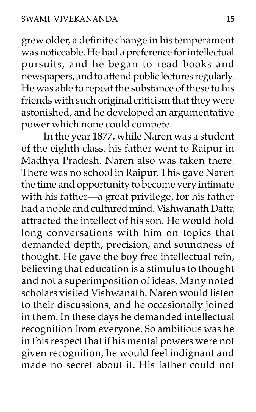grew older, a definite change in his temperament was noticeable. He had a preference for intellectual pursuits, and he began to read books and newspapers, and to attend public lectures regularly. He was able to repeat the substance of these to his friends with such original criticism that they were astonished, and he developed an argumentative power which none could compete.

In the year 1877, while Naren was a student of the eighth class, his father went to Raipur in Madhya Pradesh. Naren also was taken there. There was no school in Raipur. This gave Naren the time and opportunity to become very intimate with his father-a great privilege, for his father had a noble and cultured mind. Vishwanath Datta attracted the intellect of his son. He would hold long conversations with him on topics that demanded depth, precision, and soundness of thought. He gave the boy free intellectual rein, believing that education is a stimulus to thought and not a superimposition of ideas. Many noted scholars visited Vishwanath. Naren would listen to their discussions, and he occasionally joined in them. In these days he demanded intellectual recognition from everyone. So ambitious was he in this respect that if his mental powers were not given recognition, he would feel indignant and made no secret about it. His father could not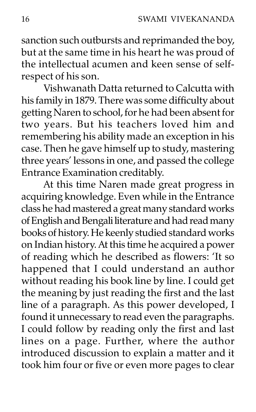sanction such outbursts and reprimanded the boy, but at the same time in his heart he was proud of the intellectual acumen and keen sense of selfrespect of his son.

Vishwanath Datta returned to Calcutta with his family in 1879. There was some difficulty about getting Naren to school, for he had been absent for two years. But his teachers loved him and remembering his ability made an exception in his case. Then he gave himself up to study, mastering three years' lessons in one, and passed the college Entrance Examination creditably.

At this time Naren made great progress in acquiring knowledge. Even while in the Entrance class he had mastered a great many standard works of English and Bengali literature and had read many books of history. He keenly studied standard works on Indian history. At this time he acquired a power of reading which he described as flowers: 'It so happened that I could understand an author without reading his book line by line. I could get the meaning by just reading the first and the last line of a paragraph. As this power developed, I found it unnecessary to read even the paragraphs. I could follow by reading only the first and last lines on a page. Further, where the author introduced discussion to explain a matter and it took him four or five or even more pages to clear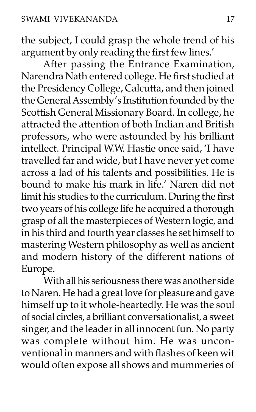the subject, I could grasp the whole trend of his argument by only reading the first few lines.'

After passing the Entrance Examination, Narendra Nath entered college. He first studied at the Presidency College, Calcutta, and then joined the General Assembly's Institution founded by the Scottish General Missionary Board. In college, he attracted the attention of both Indian and British professors, who were astounded by his brilliant intellect. Principal W.W. Hastie once said, 'I have travelled far and wide, but I have never yet come across a lad of his talents and possibilities. He is bound to make his mark in life.' Naren did not limit his studies to the curriculum. During the first two years of his college life he acquired a thorough grasp of all the masterpieces of Western logic, and in his third and fourth year classes he set himself to mastering Western philosophy as well as ancient and modern history of the different nations of Europe.

With all his seriousness there was another side to Naren. He had a great love for pleasure and gave himself up to it whole-heartedly. He was the soul of social circles, a brilliant conversationalist, a sweet singer, and the leader in all innocent fun. No party was complete without him. He was unconventional in manners and with flashes of keen wit would often expose all shows and mummeries of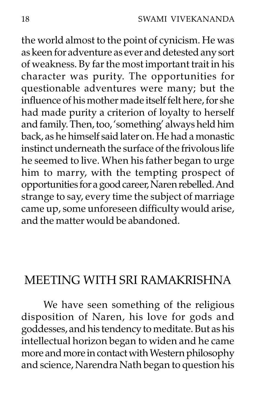the world almost to the point of cynicism. He was as keen for adventure as ever and detested any sort of weakness. By far the most important trait in his character was purity. The opportunities for questionable adventures were many; but the influence of his mother made itself felt here, for she had made purity a criterion of loyalty to herself and family. Then, too, 'something' always held him back, as he himself said later on. He had a monastic instinct underneath the surface of the frivolous life he seemed to live. When his father began to urge him to marry, with the tempting prospect of opportunities for a good career, Naren rebelled. And strange to say, every time the subject of marriage came up, some unforeseen difficulty would arise, and the matter would be abandoned.

### MEETING WITH SRI RAMAKRISHNA

We have seen something of the religious disposition of Naren, his love for gods and goddesses, and his tendency to meditate. But as his intellectual horizon began to widen and he came more and more in contact with Western philosophy and science, Narendra Nath began to question his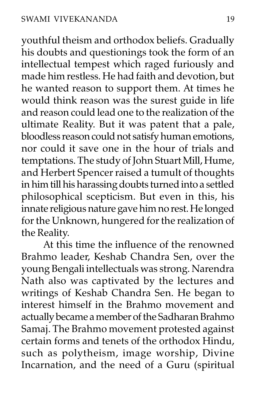youthful theism and orthodox beliefs. Gradually his doubts and questionings took the form of an intellectual tempest which raged furiously and made him restless. He had faith and devotion, but he wanted reason to support them. At times he would think reason was the surest guide in life and reason could lead one to the realization of the ultimate Reality. But it was patent that a pale, bloodless reason could not satisfy human emotions, nor could it save one in the hour of trials and temptations. The study of John Stuart Mill, Hume, and Herbert Spencer raised a tumult of thoughts in him till his harassing doubts turned into a settled philosophical scepticism. But even in this, his innate religious nature gave him no rest. He longed for the Unknown, hungered for the realization of the Reality.

At this time the influence of the renowned Brahmo leader, Keshab Chandra Sen, over the young Bengali intellectuals was strong. Narendra Nath also was captivated by the lectures and writings of Keshab Chandra Sen. He began to interest himself in the Brahmo movement and actually became a member of the Sadharan Brahmo Samaj. The Brahmo movement protested against certain forms and tenets of the orthodox Hindu, such as polytheism, image worship, Divine Incarnation, and the need of a Guru (spiritual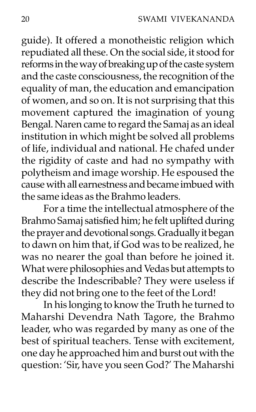guide). It offered a monotheistic religion which repudiated all these. On the social side, it stood for reforms in the way of breaking up of the caste system and the caste consciousness, the recognition of the equality of man, the education and emancipation of women, and so on. It is not surprising that this movement captured the imagination of young Bengal. Naren came to regard the Samaj as an ideal institution in which might be solved all problems of life, individual and national. He chafed under the rigidity of caste and had no sympathy with polytheism and image worship. He espoused the cause with all earnestness and became imbued with the same ideas as the Brahmo leaders.

For a time the intellectual atmosphere of the Brahmo Samaj satisfied him; he felt uplifted during the prayer and devotional songs. Gradually it began to dawn on him that, if God was to be realized, he was no nearer the goal than before he joined it. What were philosophies and Vedas but attempts to describe the Indescribable? They were useless if they did not bring one to the feet of the Lord!

In his longing to know the Truth he turned to Maharshi Devendra Nath Tagore, the Brahmo leader, who was regarded by many as one of the best of spiritual teachers. Tense with excitement, one day he approached him and burst out with the question: 'Sir, have you seen God?' The Maharshi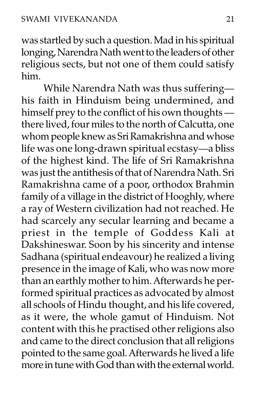was startled by such a question. Mad in his spiritual longing, Narendra Nath went to the leaders of other religious sects, but not one of them could satisfy him.

While Narendra Nath was thus sufferinghis faith in Hinduism being undermined, and himself prey to the conflict of his own thoughts there lived, four miles to the north of Calcutta, one whom people knew as Sri Ramakrishna and whose life was one long-drawn spiritual ecstasy-a bliss of the highest kind. The life of Sri Ramakrishna was just the antithesis of that of Narendra Nath. Sri Ramakrishna came of a poor, orthodox Brahmin family of a village in the district of Hooghly, where a ray of Western civilization had not reached. He had scarcely any secular learning and became a priest in the temple of Goddess Kali at Dakshineswar. Soon by his sincerity and intense Sadhana (spiritual endeavour) he realized a living presence in the image of Kali, who was now more than an earthly mother to him. Afterwards he performed spiritual practices as advocated by almost all schools of Hindu thought, and his life covered, as it were, the whole gamut of Hinduism. Not content with this he practised other religions also and came to the direct conclusion that all religions pointed to the same goal. Afterwards he lived a life more in tune with God than with the external world.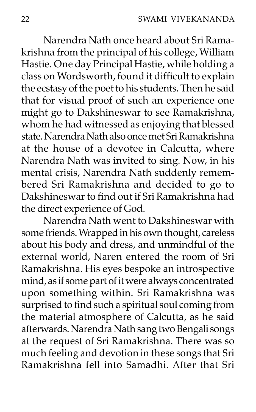Narendra Nath once heard about Sri Ramakrishna from the principal of his college, William Hastie. One day Principal Hastie, while holding a class on Wordsworth, found it difficult to explain the ecstasy of the poet to his students. Then he said that for visual proof of such an experience one might go to Dakshineswar to see Ramakrishna, whom he had witnessed as enjoying that blessed state. Narendra Nath also once met Sri Ramakrishna at the house of a devotee in Calcutta, where Narendra Nath was invited to sing. Now, in his mental crisis, Narendra Nath suddenly remembered Sri Ramakrishna and decided to go to Dakshineswar to find out if Sri Ramakrishna had the direct experience of God.

Narendra Nath went to Dakshineswar with some friends. Wrapped in his own thought, careless about his body and dress, and unmindful of the external world, Naren entered the room of Sri Ramakrishna. His eyes bespoke an introspective mind, as if some part of it were always concentrated upon something within. Sri Ramakrishna was surprised to find such a spiritual soul coming from the material atmosphere of Calcutta, as he said afterwards. Narendra Nath sang two Bengali songs at the request of Sri Ramakrishna. There was so much feeling and devotion in these songs that Sri Ramakrishna fell into Samadhi. After that Sri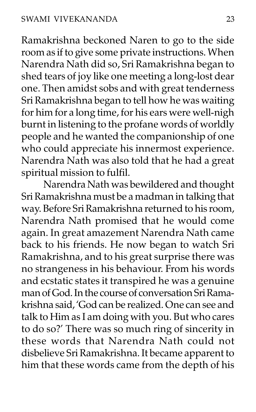Ramakrishna beckoned Naren to go to the side room as if to give some private instructions. When Narendra Nath did so, Sri Ramakrishna began to shed tears of joy like one meeting a long-lost dear one. Then amidst sobs and with great tenderness Sri Ramakrishna began to tell how he was waiting for him for a long time, for his ears were well-nigh burnt in listening to the profane words of worldly people and he wanted the companionship of one who could appreciate his innermost experience. Narendra Nath was also told that he had a great spiritual mission to fulfil.

Narendra Nath was bewildered and thought Sri Ramakrishna must be a madman in talking that way. Before Sri Ramakrishna returned to his room, Narendra Nath promised that he would come again. In great amazement Narendra Nath came back to his friends. He now began to watch Sri Ramakrishna, and to his great surprise there was no strangeness in his behaviour. From his words and ecstatic states it transpired he was a genuine man of God. In the course of conversation Sri Ramakrishna said, 'God can be realized. One can see and talk to Him as I am doing with you. But who cares to do so?<sup>'</sup> There was so much ring of sincerity in these words that Narendra Nath could not disbelieve Sri Ramakrishna. It became apparent to him that these words came from the depth of his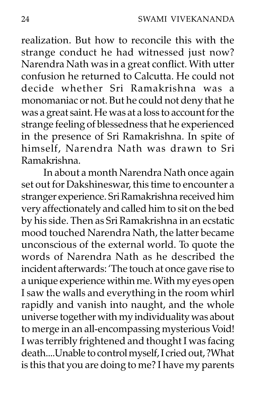realization. But how to reconcile this with the strange conduct he had witnessed just now? Narendra Nath was in a great conflict. With utter confusion he returned to Calcutta. He could not decide whether Sri Ramakrishna was a monomaniac or not. But he could not deny that he was a great saint. He was at a loss to account for the strange feeling of blessedness that he experienced in the presence of Sri Ramakrishna. In spite of himself, Narendra Nath was drawn to Sri Ramakrishna.

In about a month Narendra Nath once again set out for Dakshineswar, this time to encounter a stranger experience. Sri Ramakrishna received him very affectionately and called him to sit on the bed by his side. Then as Sri Ramakrishna in an ecstatic mood touched Narendra Nath, the latter became unconscious of the external world. To quote the words of Narendra Nath as he described the incident afterwards: 'The touch at once gave rise to a unique experience within me. With my eyes open I saw the walls and everything in the room whirl rapidly and vanish into naught, and the whole universe together with my individuality was about to merge in an all-encompassing mysterious Void! I was terribly frightened and thought I was facing death....Unable to control myself, I cried out, ?What is this that you are doing to me? I have my parents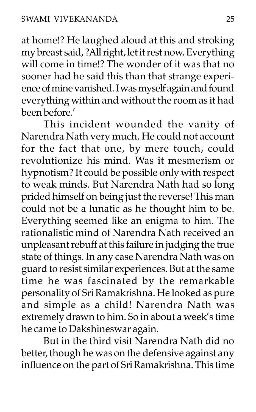at home!? He laughed aloud at this and stroking my breast said, ?All right, let it rest now. Everything will come in time!? The wonder of it was that no sooner had he said this than that strange experience of mine vanished. I was myself again and found everything within and without the room as it had been before'

This incident wounded the vanity of Narendra Nath very much. He could not account for the fact that one, by mere touch, could revolutionize his mind. Was it mesmerism or hypnotism? It could be possible only with respect to weak minds. But Narendra Nath had so long prided himself on being just the reverse! This man could not be a lunatic as he thought him to be. Everything seemed like an enigma to him. The rationalistic mind of Narendra Nath received an unpleasant rebuff at this failure in judging the true state of things. In any case Narendra Nath was on guard to resist similar experiences. But at the same time he was fascinated by the remarkable personality of Sri Ramakrishna. He looked as pure and simple as a child! Narendra Nath was extremely drawn to him. So in about a week's time he came to Dakshineswar again.

But in the third visit Narendra Nath did no better, though he was on the defensive against any influence on the part of Sri Ramakrishna. This time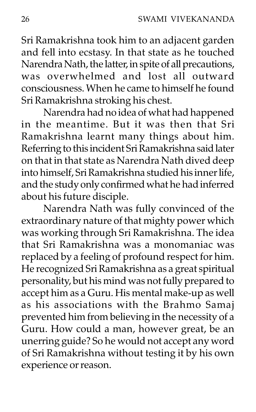Sri Ramakrishna took him to an adjacent garden and fell into ecstasy. In that state as he touched Narendra Nath, the latter, in spite of all precautions, was overwhelmed and lost all outward consciousness. When he came to himself he found Sri Ramakrishna stroking his chest.

Narendra had no idea of what had happened in the meantime. But it was then that Sri Ramakrishna learnt many things about him. Referring to this incident Sri Ramakrishna said later on that in that state as Narendra Nath dived deep into himself, Sri Ramakrishna studied his inner life, and the study only confirmed what he had inferred about his future disciple.

Narendra Nath was fully convinced of the extraordinary nature of that mighty power which was working through Sri Ramakrishna. The idea that Sri Ramakrishna was a monomaniac was replaced by a feeling of profound respect for him. He recognized Sri Ramakrishna as a great spiritual personality, but his mind was not fully prepared to accept him as a Guru. His mental make-up as well as his associations with the Brahmo Samaj prevented him from believing in the necessity of a Guru. How could a man, however great, be an unerring guide? So he would not accept any word of Sri Ramakrishna without testing it by his own experience or reason.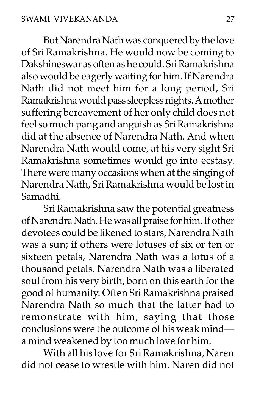But Narendra Nath was conquered by the love of Sri Ramakrishna. He would now be coming to Dakshineswar as often as he could. Sri Ramakrishna also would be eagerly waiting for him. If Narendra Nath did not meet him for a long period, Sri Ramakrishna would pass sleepless nights. A mother suffering bereavement of her only child does not feel so much pang and anguish as Sri Ramakrishna did at the absence of Narendra Nath. And when Narendra Nath would come, at his very sight Sri Ramakrishna sometimes would go into ecstasy. There were many occasions when at the singing of Narendra Nath, Sri Ramakrishna would be lost in Samadhi.

Sri Ramakrishna saw the potential greatness of Narendra Nath. He was all praise for him. If other devotees could be likened to stars, Narendra Nath was a sun; if others were lotuses of six or ten or sixteen petals, Narendra Nath was a lotus of a thousand petals. Narendra Nath was a liberated soul from his very birth, born on this earth for the good of humanity. Often Sri Ramakrishna praised Narendra Nath so much that the latter had to remonstrate with him, saying that those conclusions were the outcome of his weak mind a mind weakened by too much love for him.

With all his love for Sri Ramakrishna, Naren did not cease to wrestle with him. Naren did not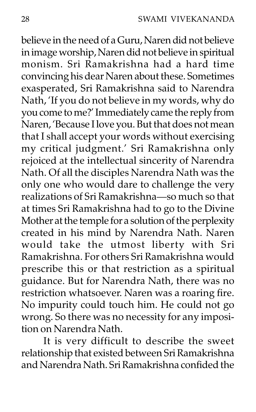believe in the need of a Guru, Naren did not believe in image worship, Naren did not believe in spiritual monism. Sri Ramakrishna had a hard time convincing his dear Naren about these. Sometimes exasperated, Sri Ramakrishna said to Narendra Nath, 'If you do not believe in my words, why do you come to me?' Immediately came the reply from Naren, 'Because I love you. But that does not mean that I shall accept your words without exercising my critical judgment.' Sri Ramakrishna only rejoiced at the intellectual sincerity of Narendra Nath. Of all the disciples Narendra Nath was the only one who would dare to challenge the very realizations of Sri Ramakrishna—so much so that at times Sri Ramakrishna had to go to the Divine Mother at the temple for a solution of the perplexity created in his mind by Narendra Nath. Naren would take the utmost liberty with Sri Ramakrishna. For others Sri Ramakrishna would prescribe this or that restriction as a spiritual guidance. But for Narendra Nath, there was no restriction whatsoever. Naren was a roaring fire. No impurity could touch him. He could not go wrong. So there was no necessity for any imposition on Narendra Nath.

It is very difficult to describe the sweet relationship that existed between Sri Ramakrishna and Narendra Nath. Sri Ramakrishna confided the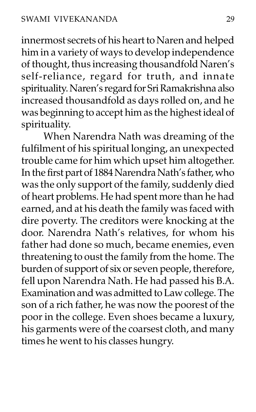innermost secrets of his heart to Naren and helped him in a variety of ways to develop independence of thought, thus increasing thousandfold Naren's self-reliance, regard for truth, and innate spirituality. Naren's regard for Sri Ramakrishna also increased thousandfold as days rolled on, and he was beginning to accept him as the highest ideal of spirituality.

When Narendra Nath was dreaming of the fulfilment of his spiritual longing, an unexpected trouble came for him which upset him altogether. In the first part of 1884 Narendra Nath's father, who was the only support of the family, suddenly died of heart problems. He had spent more than he had earned, and at his death the family was faced with dire poverty. The creditors were knocking at the door. Narendra Nath's relatives, for whom his father had done so much, became enemies, even threatening to oust the family from the home. The burden of support of six or seven people, therefore, fell upon Narendra Nath. He had passed his B.A. Examination and was admitted to Law college. The son of a rich father, he was now the poorest of the poor in the college. Even shoes became a luxury, his garments were of the coarsest cloth, and many times he went to his classes hungry.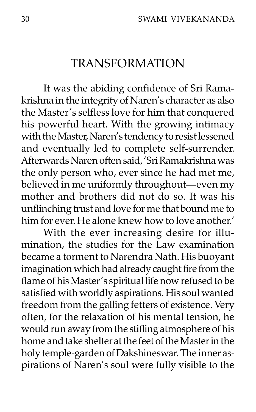#### TRANSFORMATION

It was the abiding confidence of Sri Ramakrishna in the integrity of Naren's character as also the Master's selfless love for him that conquered his powerful heart. With the growing intimacy with the Master, Naren's tendency to resist lessened and eventually led to complete self-surrender. Afterwards Naren often said, 'Sri Ramakrishna was the only person who, ever since he had met me, believed in me uniformly throughout—even my mother and brothers did not do so. It was his unflinching trust and love for me that bound me to him for ever. He alone knew how to love another'

With the ever increasing desire for illumination, the studies for the Law examination became a torment to Narendra Nath. His buoyant imagination which had already caught fire from the flame of his Master's spiritual life now refused to be satisfied with worldly aspirations. His soul wanted freedom from the galling fetters of existence. Very often, for the relaxation of his mental tension, he would run away from the stifling atmosphere of his home and take shelter at the feet of the Master in the holy temple-garden of Dakshineswar. The inner aspirations of Naren's soul were fully visible to the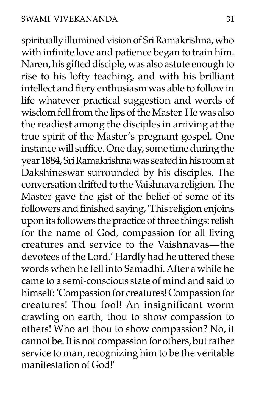spiritually illumined vision of Sri Ramakrishna, who with infinite love and patience began to train him. Naren, his gifted disciple, was also astute enough to rise to his lofty teaching, and with his brilliant intellect and fiery enthusiasm was able to follow in life whatever practical suggestion and words of wisdom fell from the lips of the Master. He was also the readiest among the disciples in arriving at the true spirit of the Master's pregnant gospel. One instance will suffice. One day, some time during the year 1884, Sri Ramakrishna was seated in his room at Dakshineswar surrounded by his disciples. The conversation drifted to the Vaishnava religion. The Master gave the gist of the belief of some of its followers and finished saying, 'This religion enjoins upon its followers the practice of three things: relish for the name of God, compassion for all living creatures and service to the Vaishnavas-the devotees of the Lord.' Hardly had he uttered these words when he fell into Samadhi. After a while he came to a semi-conscious state of mind and said to himself: 'Compassion for creatures! Compassion for creatures! Thou fool! An insignificant worm crawling on earth, thou to show compassion to others! Who art thou to show compassion? No, it cannot be. It is not compassion for others, but rather service to man, recognizing him to be the veritable manifestation of God!'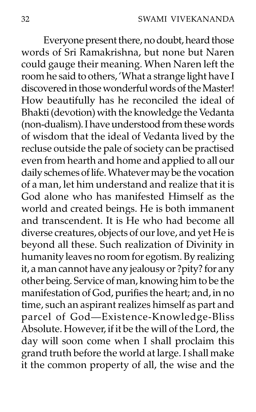Everyone present there, no doubt, heard those words of Sri Ramakrishna, but none but Naren could gauge their meaning. When Naren left the room he said to others, 'What a strange light have I discovered in those wonderful words of the Master! How beautifully has he reconciled the ideal of Bhakti (devotion) with the knowledge the Vedanta (non-dualism). I have understood from these words of wisdom that the ideal of Vedanta lived by the recluse outside the pale of society can be practised even from hearth and home and applied to all our daily schemes of life. Whatever may be the vocation of a man, let him understand and realize that it is God alone who has manifested Himself as the world and created beings. He is both immanent and transcendent. It is He who had become all diverse creatures, objects of our love, and yet He is beyond all these. Such realization of Divinity in humanity leaves no room for egotism. By realizing it, a man cannot have any jealousy or ?pity? for any other being. Service of man, knowing him to be the manifestation of God, purifies the heart; and, in no time, such an aspirant realizes himself as part and parcel of God-Existence-Knowledge-Bliss Absolute. However, if it be the will of the Lord, the day will soon come when I shall proclaim this grand truth before the world at large. I shall make it the common property of all, the wise and the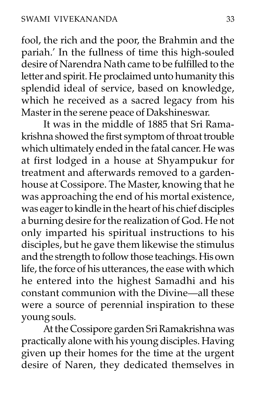fool, the rich and the poor, the Brahmin and the pariah.' In the fullness of time this high-souled desire of Narendra Nath came to be fulfilled to the letter and spirit. He proclaimed unto humanity this splendid ideal of service, based on knowledge, which he received as a sacred legacy from his Master in the serene peace of Dakshineswar.

It was in the middle of 1885 that Sri Ramakrishna showed the first symptom of throat trouble which ultimately ended in the fatal cancer. He was at first lodged in a house at Shyampukur for treatment and afterwards removed to a gardenhouse at Cossipore. The Master, knowing that he was approaching the end of his mortal existence, was eager to kindle in the heart of his chief disciples a burning desire for the realization of God. He not only imparted his spiritual instructions to his disciples, but he gave them likewise the stimulus and the strength to follow those teachings. His own life, the force of his utterances, the ease with which he entered into the highest Samadhi and his constant communion with the Divine—all these were a source of perennial inspiration to these young souls.

At the Cossipore garden Sri Ramakrishna was practically alone with his young disciples. Having given up their homes for the time at the urgent desire of Naren, they dedicated themselves in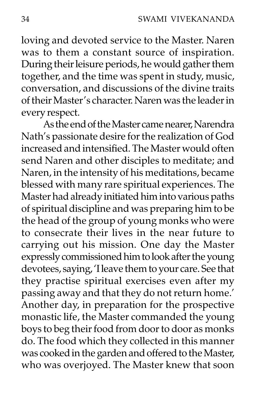loving and devoted service to the Master. Naren was to them a constant source of inspiration. During their leisure periods, he would gather them together, and the time was spent in study, music, conversation, and discussions of the divine traits of their Masterís character. Naren was the leader in every respect.

As the end of the Master came nearer, Narendra Nath's passionate desire for the realization of God increased and intensified. The Master would often send Naren and other disciples to meditate; and Naren, in the intensity of his meditations, became blessed with many rare spiritual experiences. The Master had already initiated him into various paths of spiritual discipline and was preparing him to be the head of the group of young monks who were to consecrate their lives in the near future to carrying out his mission. One day the Master expressly commissioned him to look after the young devotees, saying, 'I leave them to your care. See that they practise spiritual exercises even after my passing away and that they do not return home.' Another day, in preparation for the prospective monastic life, the Master commanded the young boys to beg their food from door to door as monks do. The food which they collected in this manner was cooked in the garden and offered to the Master, who was overjoyed. The Master knew that soon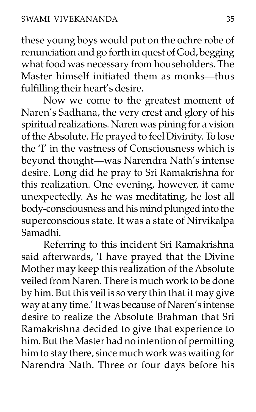these young boys would put on the ochre robe of renunciation and go forth in quest of God, begging what food was necessary from householders. The Master himself initiated them as monks-thus fulfilling their heart's desire.

Now we come to the greatest moment of Naren's Sadhana, the very crest and glory of his spiritual realizations. Naren was pining for a vision of the Absolute. He prayed to feel Divinity. To lose the 'I' in the vastness of Consciousness which is beyond thought—was Narendra Nath's intense desire. Long did he pray to Sri Ramakrishna for this realization. One evening, however, it came unexpectedly. As he was meditating, he lost all body-consciousness and his mind plunged into the superconscious state. It was a state of Nirvikalpa Samadhi.

Referring to this incident Sri Ramakrishna said afterwards, 'I have prayed that the Divine Mother may keep this realization of the Absolute veiled from Naren. There is much work to be done by him. But this veil is so very thin that it may give way at any time.' It was because of Naren's intense desire to realize the Absolute Brahman that Sri Ramakrishna decided to give that experience to him. But the Master had no intention of permitting him to stay there, since much work was waiting for Narendra Nath. Three or four days before his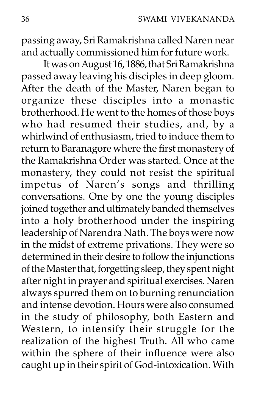passing away, Sri Ramakrishna called Naren near and actually commissioned him for future work.

It was on August 16, 1886, that Sri Ramakrishna passed away leaving his disciples in deep gloom. After the death of the Master, Naren began to organize these disciples into a monastic brotherhood. He went to the homes of those boys who had resumed their studies, and, by a whirlwind of enthusiasm, tried to induce them to return to Baranagore where the first monastery of the Ramakrishna Order was started. Once at the monastery, they could not resist the spiritual impetus of Naren's songs and thrilling conversations. One by one the young disciples joined together and ultimately banded themselves into a holy brotherhood under the inspiring leadership of Narendra Nath. The boys were now in the midst of extreme privations. They were so determined in their desire to follow the injunctions of the Master that, forgetting sleep, they spent night after night in prayer and spiritual exercises. Naren always spurred them on to burning renunciation and intense devotion. Hours were also consumed in the study of philosophy, both Eastern and Western, to intensify their struggle for the realization of the highest Truth. All who came within the sphere of their influence were also caught up in their spirit of God-intoxication. With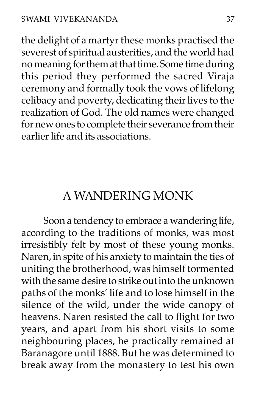the delight of a martyr these monks practised the severest of spiritual austerities, and the world had no meaning for them at that time. Some time during this period they performed the sacred Viraja ceremony and formally took the vows of lifelong celibacy and poverty, dedicating their lives to the realization of God. The old names were changed for new ones to complete their severance from their earlier life and its associations.

## A WANDERING MONK

Soon a tendency to embrace a wandering life, according to the traditions of monks, was most irresistibly felt by most of these young monks. Naren, in spite of his anxiety to maintain the ties of uniting the brotherhood, was himself tormented with the same desire to strike out into the unknown paths of the monks' life and to lose himself in the silence of the wild, under the wide canopy of heavens. Naren resisted the call to flight for two years, and apart from his short visits to some neighbouring places, he practically remained at Baranagore until 1888. But he was determined to break away from the monastery to test his own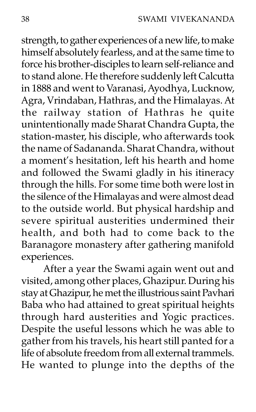strength, to gather experiences of a new life, to make himself absolutely fearless, and at the same time to force his brother-disciples to learn self-reliance and to stand alone. He therefore suddenly left Calcutta in 1888 and went to Varanasi, Ayodhya, Lucknow, Agra, Vrindaban, Hathras, and the Himalayas. At the railway station of Hathras he quite unintentionally made Sharat Chandra Gupta, the station-master, his disciple, who afterwards took the name of Sadananda. Sharat Chandra, without a moment's hesitation, left his hearth and home and followed the Swami gladly in his itineracy through the hills. For some time both were lost in the silence of the Himalayas and were almost dead to the outside world. But physical hardship and severe spiritual austerities undermined their health, and both had to come back to the Baranagore monastery after gathering manifold experiences.

After a year the Swami again went out and visited, among other places, Ghazipur. During his stay at Ghazipur, he met the illustrious saint Pavhari Baba who had attained to great spiritual heights through hard austerities and Yogic practices. Despite the useful lessons which he was able to gather from his travels, his heart still panted for a life of absolute freedom from all external trammels. He wanted to plunge into the depths of the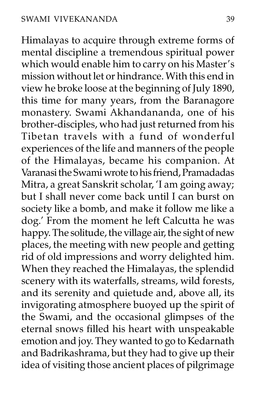Himalayas to acquire through extreme forms of mental discipline a tremendous spiritual power which would enable him to carry on his Master's mission without let or hindrance. With this end in view he broke loose at the beginning of July 1890, this time for many years, from the Baranagore monastery. Swami Akhandananda, one of his brother-disciples, who had just returned from his Tibetan travels with a fund of wonderful experiences of the life and manners of the people of the Himalayas, became his companion. At Varanasi the Swami wrote to his friend, Pramadadas Mitra, a great Sanskrit scholar, 'I am going away; but I shall never come back until I can burst on society like a bomb, and make it follow me like a dog.' From the moment he left Calcutta he was happy. The solitude, the village air, the sight of new places, the meeting with new people and getting rid of old impressions and worry delighted him. When they reached the Himalayas, the splendid scenery with its waterfalls, streams, wild forests, and its serenity and quietude and, above all, its invigorating atmosphere buoyed up the spirit of the Swami, and the occasional glimpses of the eternal snows filled his heart with unspeakable emotion and joy. They wanted to go to Kedarnath and Badrikashrama, but they had to give up their idea of visiting those ancient places of pilgrimage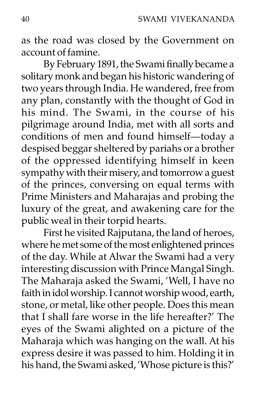as the road was closed by the Government on account of famine.

By February 1891, the Swami finally became a solitary monk and began his historic wandering of two years through India. He wandered, free from any plan, constantly with the thought of God in his mind. The Swami, in the course of his pilgrimage around India, met with all sorts and conditions of men and found himself-today a despised beggar sheltered by pariahs or a brother of the oppressed identifying himself in keen sympathy with their misery, and tomorrow a guest of the princes, conversing on equal terms with Prime Ministers and Maharajas and probing the luxury of the great, and awakening care for the public weal in their torpid hearts.

First he visited Rajputana, the land of heroes, where he met some of the most enlightened princes of the day. While at Alwar the Swami had a very interesting discussion with Prince Mangal Singh. The Maharaja asked the Swami, 'Well, I have no faith in idol worship. I cannot worship wood, earth, stone, or metal, like other people. Does this mean that I shall fare worse in the life hereafter?' The eyes of the Swami alighted on a picture of the Maharaja which was hanging on the wall. At his express desire it was passed to him. Holding it in his hand, the Swami asked, 'Whose picture is this?'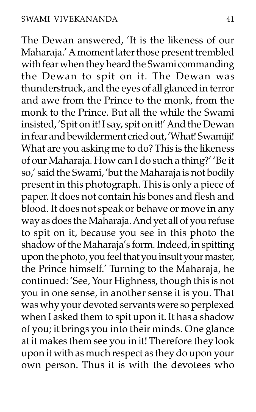The Dewan answered, 'It is the likeness of our Maharaja.' A moment later those present trembled with fear when they heard the Swami commanding the Dewan to spit on it. The Dewan was thunderstruck, and the eyes of all glanced in terror and awe from the Prince to the monk, from the monk to the Prince. But all the while the Swami insisted, 'Spit on it! I say, spit on it!' And the Dewan in fear and bewilderment cried out, 'What! Swamiji! What are you asking me to do? This is the likeness of our Maharaja. How can I do such a thing?' 'Be it so,' said the Swami, 'but the Maharaja is not bodily present in this photograph. This is only a piece of paper. It does not contain his bones and flesh and blood. It does not speak or behave or move in any way as does the Maharaja. And yet all of you refuse to spit on it, because you see in this photo the shadow of the Maharaja's form. Indeed, in spitting upon the photo, you feel that you insult your master, the Prince himself.' Turning to the Maharaja, he continued: 'See, Your Highness, though this is not you in one sense, in another sense it is you. That was why your devoted servants were so perplexed when I asked them to spit upon it. It has a shadow of you; it brings you into their minds. One glance at it makes them see you in it! Therefore they look upon it with as much respect as they do upon your own person. Thus it is with the devotees who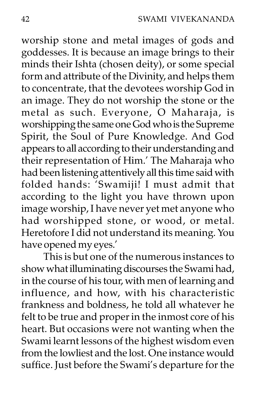worship stone and metal images of gods and goddesses. It is because an image brings to their minds their Ishta (chosen deity), or some special form and attribute of the Divinity, and helps them to concentrate, that the devotees worship God in an image. They do not worship the stone or the metal as such. Everyone, O Maharaja, is worshipping the same one God who is the Supreme Spirit, the Soul of Pure Knowledge. And God appears to all according to their understanding and their representation of Him.' The Maharaja who had been listening attentively all this time said with folded hands: ëSwamiji! I must admit that according to the light you have thrown upon image worship, I have never yet met anyone who had worshipped stone, or wood, or metal. Heretofore I did not understand its meaning. You have opened my eyes.'

This is but one of the numerous instances to show what illuminating discourses the Swami had, in the course of his tour, with men of learning and influence, and how, with his characteristic frankness and boldness, he told all whatever he felt to be true and proper in the inmost core of his heart. But occasions were not wanting when the Swami learnt lessons of the highest wisdom even from the lowliest and the lost. One instance would suffice. Just before the Swami's departure for the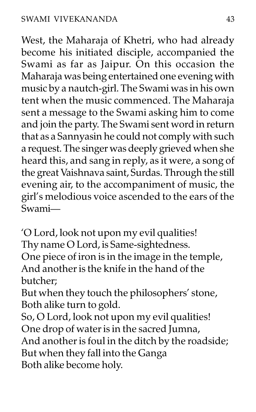West, the Maharaja of Khetri, who had already become his initiated disciple, accompanied the Swami as far as Jaipur. On this occasion the Maharaja was being entertained one evening with music by a nautch-girl. The Swami was in his own tent when the music commenced. The Maharaja sent a message to the Swami asking him to come and join the party. The Swami sent word in return that as a Sannyasin he could not comply with such a request. The singer was deeply grieved when she heard this, and sang in reply, as it were, a song of the great Vaishnava saint, Surdas. Through the still evening air, to the accompaniment of music, the girl's melodious voice ascended to the ears of the Swami<sub>—</sub>

ëO Lord, look not upon my evil qualities! Thy name O Lord, is Same-sightedness. One piece of iron is in the image in the temple, And another is the knife in the hand of the butcher;

But when they touch the philosophers' stone, Both alike turn to gold.

So, O Lord, look not upon my evil qualities! One drop of water is in the sacred Jumna, And another is foul in the ditch by the roadside; But when they fall into the Ganga Both alike become holy.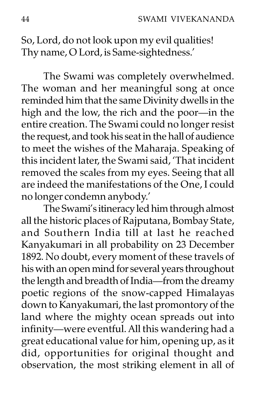So, Lord, do not look upon my evil qualities! Thy name, O Lord, is Same-sightedness.'

The Swami was completely overwhelmed. The woman and her meaningful song at once reminded him that the same Divinity dwells in the high and the low, the rich and the poor-in the entire creation. The Swami could no longer resist the request, and took his seat in the hall of audience to meet the wishes of the Maharaja. Speaking of this incident later, the Swami said, 'That incident removed the scales from my eyes. Seeing that all are indeed the manifestations of the One, I could no longer condemn anybody.'

The Swami's itineracy led him through almost all the historic places of Rajputana, Bombay State, and Southern India till at last he reached Kanyakumari in all probability on 23 December 1892. No doubt, every moment of these travels of his with an open mind for several years throughout the length and breadth of India-from the dreamy poetic regions of the snow-capped Himalayas down to Kanyakumari, the last promontory of the land where the mighty ocean spreads out into infinity—were eventful. All this wandering had a great educational value for him, opening up, as it did, opportunities for original thought and observation, the most striking element in all of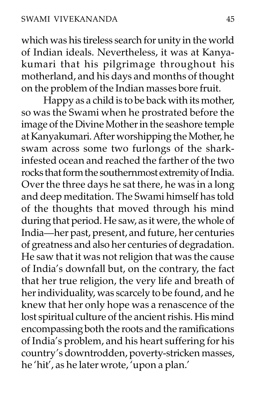which was his tireless search for unity in the world of Indian ideals. Nevertheless, it was at Kanyakumari that his pilgrimage throughout his motherland, and his days and months of thought on the problem of the Indian masses bore fruit.

Happy as a child is to be back with its mother, so was the Swami when he prostrated before the image of the Divine Mother in the seashore temple at Kanyakumari. After worshipping the Mother, he swam across some two furlongs of the sharkinfested ocean and reached the farther of the two rocks that form the southernmost extremity of India. Over the three days he sat there, he was in a long and deep meditation. The Swami himself has told of the thoughts that moved through his mind during that period. He saw, as it were, the whole of India-her past, present, and future, her centuries of greatness and also her centuries of degradation. He saw that it was not religion that was the cause of Indiaís downfall but, on the contrary, the fact that her true religion, the very life and breath of her individuality, was scarcely to be found, and he knew that her only hope was a renascence of the lost spiritual culture of the ancient rishis. His mind encompassing both the roots and the ramifications of Indiaís problem, and his heart suffering for his countryís downtrodden, poverty-stricken masses, he 'hit', as he later wrote, 'upon a plan.'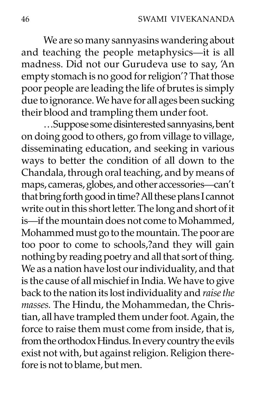We are so many sannyasins wandering about and teaching the people metaphysics-it is all madness. Did not our Gurudeva use to say, 'An empty stomach is no good for religion'? That those poor people are leading the life of brutes is simply due to ignorance. We have for all ages been sucking their blood and trampling them under foot.

ÖSuppose some disinterested sannyasins, bent on doing good to others, go from village to village, disseminating education, and seeking in various ways to better the condition of all down to the Chandala, through oral teaching, and by means of maps, cameras, globes, and other accessories—can't that bring forth good in time? All these plans I cannot write out in this short letter. The long and short of it is—if the mountain does not come to Mohammed, Mohammed must go to the mountain. The poor are too poor to come to schools,?and they will gain nothing by reading poetry and all that sort of thing. We as a nation have lost our individuality, and that is the cause of all mischief in India. We have to give back to the nation its lost individuality and raise the masses. The Hindu, the Mohammedan, the Christian, all have trampled them under foot. Again, the force to raise them must come from inside, that is, from the orthodox Hindus. In every country the evils exist not with, but against religion. Religion therefore is not to blame, but men.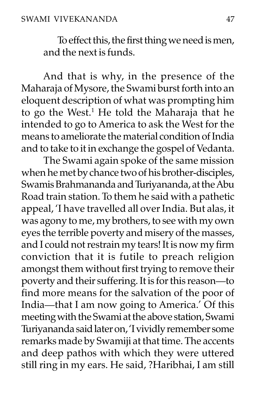To effect this, the first thing we need is men, and the next is funds.

And that is why, in the presence of the Maharaja of Mysore, the Swami burst forth into an eloquent description of what was prompting him to go the West.<sup>1</sup> He told the Maharaja that he intended to go to America to ask the West for the means to ameliorate the material condition of India and to take to it in exchange the gospel of Vedanta.

The Swami again spoke of the same mission when he met by chance two of his brother-disciples, Swamis Brahmananda and Turiyananda, at the Abu Road train station. To them he said with a pathetic appeal, 'I have travelled all over India. But alas, it was agony to me, my brothers, to see with my own eyes the terrible poverty and misery of the masses, and I could not restrain my tears! It is now my firm conviction that it is futile to preach religion amongst them without first trying to remove their poverty and their suffering. It is for this reason-to find more means for the salvation of the poor of India—that I am now going to America.<sup>'</sup> Of this meeting with the Swami at the above station, Swami Turiyananda said later on, 'I vividly remember some remarks made by Swamiji at that time. The accents and deep pathos with which they were uttered still ring in my ears. He said, ?Haribhai, I am still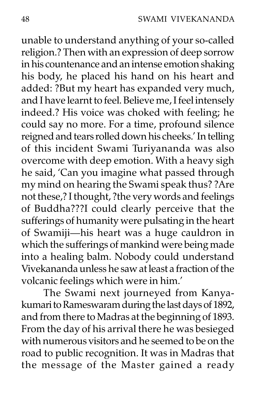unable to understand anything of your so-called religion.? Then with an expression of deep sorrow in his countenance and an intense emotion shaking his body, he placed his hand on his heart and added: ?But my heart has expanded very much, and I have learnt to feel. Believe me, I feel intensely indeed.? His voice was choked with feeling; he could say no more. For a time, profound silence reigned and tears rolled down his cheeks.' In telling of this incident Swami Turiyananda was also overcome with deep emotion. With a heavy sigh he said, 'Can you imagine what passed through my mind on hearing the Swami speak thus? ?Are not these,? I thought, ?the very words and feelings of Buddha???I could clearly perceive that the sufferings of humanity were pulsating in the heart of Swamiji-his heart was a huge cauldron in which the sufferings of mankind were being made into a healing balm. Nobody could understand Vivekananda unless he saw at least a fraction of the volcanic feelings which were in him.'

The Swami next journeyed from Kanyakumari to Rameswaram during the last days of 1892, and from there to Madras at the beginning of 1893. From the day of his arrival there he was besieged with numerous visitors and he seemed to be on the road to public recognition. It was in Madras that the message of the Master gained a ready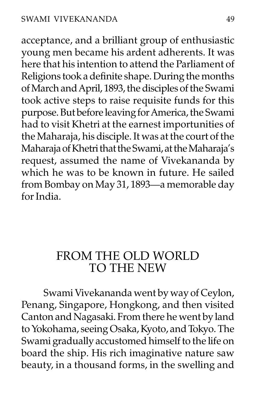acceptance, and a brilliant group of enthusiastic young men became his ardent adherents. It was here that his intention to attend the Parliament of Religions took a definite shape. During the months of March and April, 1893, the disciples of the Swami took active steps to raise requisite funds for this purpose. But before leaving for America, the Swami had to visit Khetri at the earnest importunities of the Maharaja, his disciple. It was at the court of the Maharaja of Khetri that the Swami, at the Maharaja's request, assumed the name of Vivekananda by which he was to be known in future. He sailed from Bombay on May 31, 1893—a memorable day for India.

### FROM THE OLD WORLD TO THE NEW

Swami Vivekananda went by way of Ceylon, Penang, Singapore, Hongkong, and then visited Canton and Nagasaki. From there he went by land to Yokohama, seeing Osaka, Kyoto, and Tokyo. The Swami gradually accustomed himself to the life on board the ship. His rich imaginative nature saw beauty, in a thousand forms, in the swelling and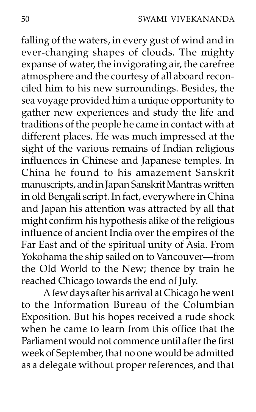falling of the waters, in every gust of wind and in ever-changing shapes of clouds. The mighty expanse of water, the invigorating air, the carefree atmosphere and the courtesy of all aboard reconciled him to his new surroundings. Besides, the sea voyage provided him a unique opportunity to gather new experiences and study the life and traditions of the people he came in contact with at different places. He was much impressed at the sight of the various remains of Indian religious influences in Chinese and Japanese temples. In China he found to his amazement Sanskrit manuscripts, and in Japan Sanskrit Mantras written in old Bengali script. In fact, everywhere in China and Japan his attention was attracted by all that might confirm his hypothesis alike of the religious influence of ancient India over the empires of the Far East and of the spiritual unity of Asia. From Yokohama the ship sailed on to Vancouver-from the Old World to the New; thence by train he reached Chicago towards the end of July.

A few days after his arrival at Chicago he went to the Information Bureau of the Columbian Exposition. But his hopes received a rude shock when he came to learn from this office that the Parliament would not commence until after the first week of September, that no one would be admitted as a delegate without proper references, and that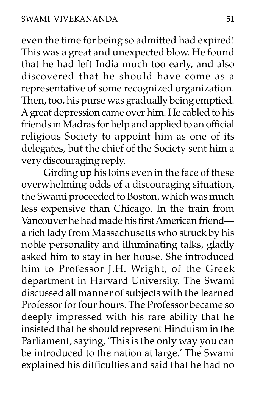even the time for being so admitted had expired! This was a great and unexpected blow. He found that he had left India much too early, and also discovered that he should have come as a representative of some recognized organization. Then, too, his purse was gradually being emptied. A great depression came over him. He cabled to his friends in Madras for help and applied to an official religious Society to appoint him as one of its delegates, but the chief of the Society sent him a very discouraging reply.

Girding up his loins even in the face of these overwhelming odds of a discouraging situation, the Swami proceeded to Boston, which was much less expensive than Chicago. In the train from Vancouver he had made his first American friend a rich lady from Massachusetts who struck by his noble personality and illuminating talks, gladly asked him to stay in her house. She introduced him to Professor J.H. Wright, of the Greek department in Harvard University. The Swami discussed all manner of subjects with the learned Professor for four hours. The Professor became so deeply impressed with his rare ability that he insisted that he should represent Hinduism in the Parliament, saying, 'This is the only way you can be introduced to the nation at large.' The Swami explained his difficulties and said that he had no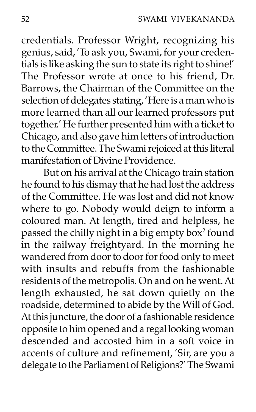credentials. Professor Wright, recognizing his genius, said, 'To ask you, Swami, for your credentials is like asking the sun to state its right to shine!' The Professor wrote at once to his friend, Dr. Barrows, the Chairman of the Committee on the selection of delegates stating, 'Here is a man who is more learned than all our learned professors put together.' He further presented him with a ticket to Chicago, and also gave him letters of introduction to the Committee. The Swami rejoiced at this literal manifestation of Divine Providence.

But on his arrival at the Chicago train station he found to his dismay that he had lost the address of the Committee. He was lost and did not know where to go. Nobody would deign to inform a coloured man. At length, tired and helpless, he passed the chilly night in a big empty box<sup>2</sup> found in the railway freightyard. In the morning he wandered from door to door for food only to meet with insults and rebuffs from the fashionable residents of the metropolis. On and on he went. At length exhausted, he sat down quietly on the roadside, determined to abide by the Will of God. At this juncture, the door of a fashionable residence opposite to him opened and a regal looking woman descended and accosted him in a soft voice in accents of culture and refinement, 'Sir, are you a delegate to the Parliament of Religions?' The Swami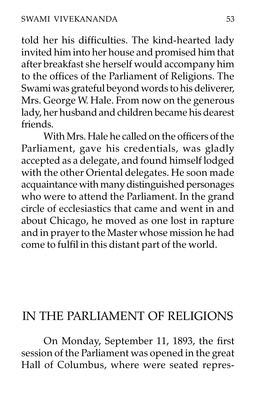told her his difficulties. The kind-hearted lady invited him into her house and promised him that after breakfast she herself would accompany him to the offices of the Parliament of Religions. The Swami was grateful beyond words to his deliverer, Mrs. George W. Hale. From now on the generous lady, her husband and children became his dearest friends.

With Mrs. Hale he called on the officers of the Parliament, gave his credentials, was gladly accepted as a delegate, and found himself lodged with the other Oriental delegates. He soon made acquaintance with many distinguished personages who were to attend the Parliament. In the grand circle of ecclesiastics that came and went in and about Chicago, he moved as one lost in rapture and in prayer to the Master whose mission he had come to fulfil in this distant part of the world.

## IN THE PARLIAMENT OF RELIGIONS

On Monday, September 11, 1893, the first session of the Parliament was opened in the great Hall of Columbus, where were seated repres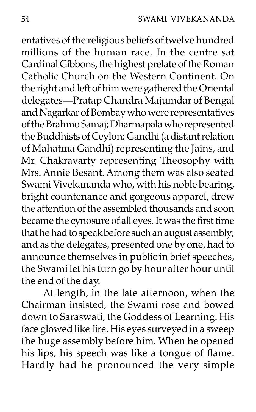entatives of the religious beliefs of twelve hundred millions of the human race. In the centre sat Cardinal Gibbons, the highest prelate of the Roman Catholic Church on the Western Continent. On the right and left of him were gathered the Oriental delegates-Pratap Chandra Majumdar of Bengal and Nagarkar of Bombay who were representatives of the Brahmo Samaj; Dharmapala who represented the Buddhists of Ceylon; Gandhi (a distant relation of Mahatma Gandhi) representing the Jains, and Mr. Chakravarty representing Theosophy with Mrs. Annie Besant. Among them was also seated Swami Vivekananda who, with his noble bearing, bright countenance and gorgeous apparel, drew the attention of the assembled thousands and soon became the cynosure of all eyes. It was the first time that he had to speak before such an august assembly; and as the delegates, presented one by one, had to announce themselves in public in brief speeches, the Swami let his turn go by hour after hour until the end of the day.

At length, in the late afternoon, when the Chairman insisted, the Swami rose and bowed down to Saraswati, the Goddess of Learning. His face glowed like fire. His eyes surveyed in a sweep the huge assembly before him. When he opened his lips, his speech was like a tongue of flame. Hardly had he pronounced the very simple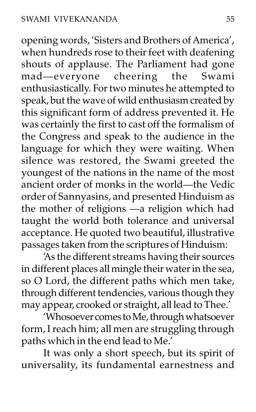opening words, 'Sisters and Brothers of America', when hundreds rose to their feet with deafening shouts of applause. The Parliament had gone mad—everyone cheering the Swami enthusiastically. For two minutes he attempted to speak, but the wave of wild enthusiasm created by this significant form of address prevented it. He was certainly the first to cast off the formalism of the Congress and speak to the audience in the language for which they were waiting. When silence was restored, the Swami greeted the youngest of the nations in the name of the most ancient order of monks in the world-the Vedic order of Sannyasins, and presented Hinduism as the mother of religions - a religion which had taught the world both tolerance and universal acceptance. He quoted two beautiful, illustrative passages taken from the scriptures of Hinduism:

ëAs the different streams having their sources in different places all mingle their water in the sea, so O Lord, the different paths which men take, through different tendencies, various though they may appear, crooked or straight, all lead to Thee.<sup>'</sup>

ëWhosoever comes to Me, through whatsoever form, I reach him; all men are struggling through paths which in the end lead to Me.<sup>'</sup>

It was only a short speech, but its spirit of universality, its fundamental earnestness and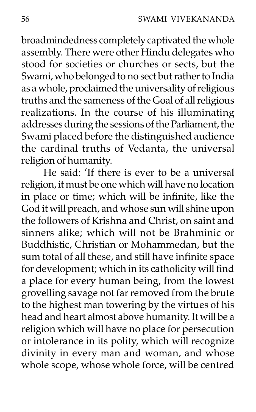broadmindedness completely captivated the whole assembly. There were other Hindu delegates who stood for societies or churches or sects, but the Swami, who belonged to no sect but rather to India as a whole, proclaimed the universality of religious truths and the sameness of the Goal of all religious realizations. In the course of his illuminating addresses during the sessions of the Parliament, the Swami placed before the distinguished audience the cardinal truths of Vedanta, the universal religion of humanity.

He said: 'If there is ever to be a universal religion, it must be one which will have no location in place or time; which will be infinite, like the God it will preach, and whose sun will shine upon the followers of Krishna and Christ, on saint and sinners alike; which will not be Brahminic or Buddhistic, Christian or Mohammedan, but the sum total of all these, and still have infinite space for development; which in its catholicity will find a place for every human being, from the lowest grovelling savage not far removed from the brute to the highest man towering by the virtues of his head and heart almost above humanity. It will be a religion which will have no place for persecution or intolerance in its polity, which will recognize divinity in every man and woman, and whose whole scope, whose whole force, will be centred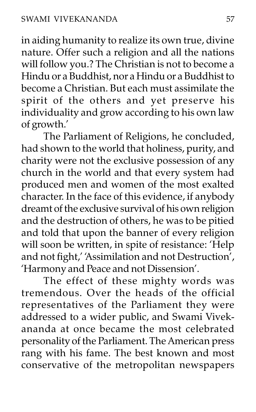in aiding humanity to realize its own true, divine nature. Offer such a religion and all the nations will follow you.? The Christian is not to become a Hindu or a Buddhist, nor a Hindu or a Buddhist to become a Christian. But each must assimilate the spirit of the others and yet preserve his individuality and grow according to his own law of growth.'

The Parliament of Religions, he concluded, had shown to the world that holiness, purity, and charity were not the exclusive possession of any church in the world and that every system had produced men and women of the most exalted character. In the face of this evidence, if anybody dreamt of the exclusive survival of his own religion and the destruction of others, he was to be pitied and told that upon the banner of every religion will soon be written, in spite of resistance: 'Help and not fight,' 'Assimilation and not Destruction', 'Harmony and Peace and not Dissension'.

The effect of these mighty words was tremendous. Over the heads of the official representatives of the Parliament they were addressed to a wider public, and Swami Vivekananda at once became the most celebrated personality of the Parliament. The American press rang with his fame. The best known and most conservative of the metropolitan newspapers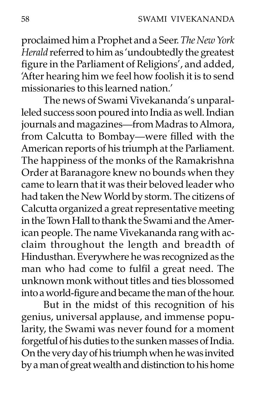proclaimed him a Prophet and a Seer. The New York Herald referred to him as 'undoubtedly the greatest figure in the Parliament of Religions', and added, 'After hearing him we feel how foolish it is to send missionaries to this learned nation.

The news of Swami Vivekananda's unparalleled success soon poured into India as well. Indian journals and magazines-from Madras to Almora, from Calcutta to Bombay—were filled with the American reports of his triumph at the Parliament. The happiness of the monks of the Ramakrishna Order at Baranagore knew no bounds when they came to learn that it was their beloved leader who had taken the New World by storm. The citizens of Calcutta organized a great representative meeting in the Town Hall to thank the Swami and the American people. The name Vivekananda rang with acclaim throughout the length and breadth of Hindusthan. Everywhere he was recognized as the man who had come to fulfil a great need. The unknown monk without titles and ties blossomed into a world-figure and became the man of the hour.

But in the midst of this recognition of his genius, universal applause, and immense popularity, the Swami was never found for a moment forgetful of his duties to the sunken masses of India. On the very day of his triumph when he was invited by a man of great wealth and distinction to his home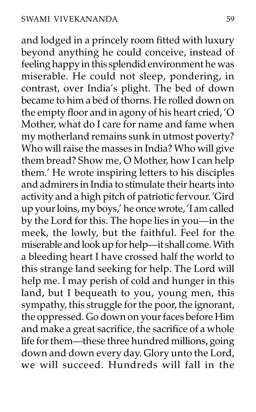and lodged in a princely room fitted with luxury beyond anything he could conceive, instead of feeling happy in this splendid environment he was miserable. He could not sleep, pondering, in contrast, over Indiaís plight. The bed of down became to him a bed of thorns. He rolled down on the empty floor and in agony of his heart cried, 'O Mother, what do I care for name and fame when my motherland remains sunk in utmost poverty? Who will raise the masses in India? Who will give them bread? Show me, O Mother, how I can help them.' He wrote inspiring letters to his disciples and admirers in India to stimulate their hearts into activity and a high pitch of patriotic fervour. 'Gird up your loins, my boys,' he once wrote, 'I am called by the Lord for this. The hope lies in you-in the meek, the lowly, but the faithful. Feel for the miserable and look up for help-it shall come. With a bleeding heart I have crossed half the world to this strange land seeking for help. The Lord will help me. I may perish of cold and hunger in this land, but I bequeath to you, young men, this sympathy, this struggle for the poor, the ignorant, the oppressed. Go down on your faces before Him and make a great sacrifice, the sacrifice of a whole life for them-these three hundred millions, going down and down every day. Glory unto the Lord, we will succeed. Hundreds will fall in the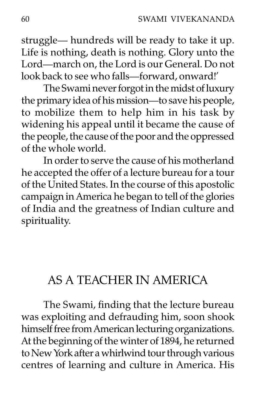struggle— hundreds will be ready to take it up. Life is nothing, death is nothing. Glory unto the Lord—march on, the Lord is our General. Do not look back to see who falls-forward, onward!'

The Swami never forgot in the midst of luxury the primary idea of his mission—to save his people, to mobilize them to help him in his task by widening his appeal until it became the cause of the people, the cause of the poor and the oppressed of the whole world.

In order to serve the cause of his motherland he accepted the offer of a lecture bureau for a tour of the United States. In the course of this apostolic campaign in America he began to tell of the glories of India and the greatness of Indian culture and spirituality.

# AS A TEACHER IN AMERICA

The Swami, finding that the lecture bureau was exploiting and defrauding him, soon shook himself free from American lecturing organizations. At the beginning of the winter of 1894, he returned to New York after a whirlwind tour through various centres of learning and culture in America. His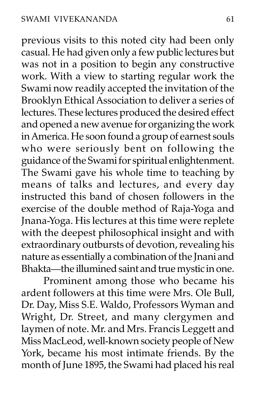previous visits to this noted city had been only casual. He had given only a few public lectures but was not in a position to begin any constructive work. With a view to starting regular work the Swami now readily accepted the invitation of the Brooklyn Ethical Association to deliver a series of lectures. These lectures produced the desired effect and opened a new avenue for organizing the work in America. He soon found a group of earnest souls who were seriously bent on following the guidance of the Swami for spiritual enlightenment. The Swami gave his whole time to teaching by means of talks and lectures, and every day instructed this band of chosen followers in the exercise of the double method of Raja-Yoga and Jnana-Yoga. His lectures at this time were replete with the deepest philosophical insight and with extraordinary outbursts of devotion, revealing his nature as essentially a combination of the Jnani and Bhakta-the illumined saint and true mystic in one.

Prominent among those who became his ardent followers at this time were Mrs. Ole Bull, Dr. Day, Miss S.E. Waldo, Professors Wyman and Wright, Dr. Street, and many clergymen and laymen of note. Mr. and Mrs. Francis Leggett and Miss MacLeod, well-known society people of New York, became his most intimate friends. By the month of June 1895, the Swami had placed his real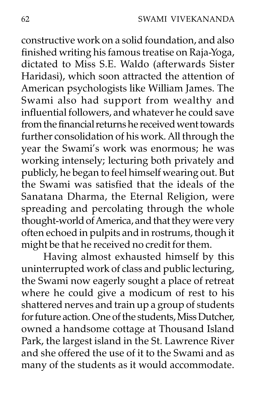constructive work on a solid foundation, and also finished writing his famous treatise on Raja-Yoga, dictated to Miss S.E. Waldo (afterwards Sister Haridasi), which soon attracted the attention of American psychologists like William James. The Swami also had support from wealthy and influential followers, and whatever he could save from the financial returns he received went towards further consolidation of his work. All through the year the Swami's work was enormous; he was working intensely; lecturing both privately and publicly, he began to feel himself wearing out. But the Swami was satisfied that the ideals of the Sanatana Dharma, the Eternal Religion, were spreading and percolating through the whole thought-world of America, and that they were very often echoed in pulpits and in rostrums, though it might be that he received no credit for them.

Having almost exhausted himself by this uninterrupted work of class and public lecturing, the Swami now eagerly sought a place of retreat where he could give a modicum of rest to his shattered nerves and train up a group of students for future action. One of the students, Miss Dutcher, owned a handsome cottage at Thousand Island Park, the largest island in the St. Lawrence River and she offered the use of it to the Swami and as many of the students as it would accommodate.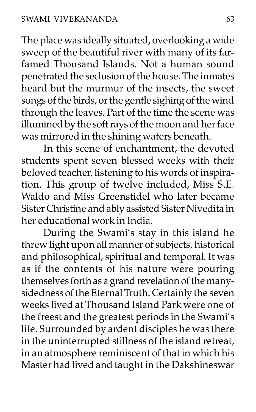The place was ideally situated, overlooking a wide sweep of the beautiful river with many of its farfamed Thousand Islands. Not a human sound penetrated the seclusion of the house. The inmates heard but the murmur of the insects, the sweet songs of the birds, or the gentle sighing of the wind through the leaves. Part of the time the scene was illumined by the soft rays of the moon and her face was mirrored in the shining waters beneath.

In this scene of enchantment, the devoted students spent seven blessed weeks with their beloved teacher, listening to his words of inspiration. This group of twelve included, Miss S.E. Waldo and Miss Greenstidel who later became Sister Christine and ably assisted Sister Nivedita in her educational work in India.

During the Swami's stay in this island he threw light upon all manner of subjects, historical and philosophical, spiritual and temporal. It was as if the contents of his nature were pouring themselves forth as a grand revelation of the manysidedness of the Eternal Truth. Certainly the seven weeks lived at Thousand Island Park were one of the freest and the greatest periods in the Swami's life. Surrounded by ardent disciples he was there in the uninterrupted stillness of the island retreat, in an atmosphere reminiscent of that in which his Master had lived and taught in the Dakshineswar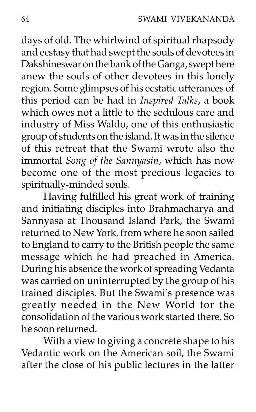days of old. The whirlwind of spiritual rhapsody and ecstasy that had swept the souls of devotees in Dakshineswar on the bank of the Ganga, swept here anew the souls of other devotees in this lonely region. Some glimpses of his ecstatic utterances of this period can be had in Inspired Talks, a book which owes not a little to the sedulous care and industry of Miss Waldo, one of this enthusiastic group of students on the island. It was in the silence of this retreat that the Swami wrote also the immortal Song of the Sannyasin, which has now become one of the most precious legacies to spiritually-minded souls.

Having fulfilled his great work of training and initiating disciples into Brahmacharya and Sannyasa at Thousand Island Park, the Swami returned to New York, from where he soon sailed to England to carry to the British people the same message which he had preached in America. During his absence the work of spreading Vedanta was carried on uninterrupted by the group of his trained disciples. But the Swami's presence was greatly needed in the New World for the consolidation of the various work started there. So he soon returned.

With a view to giving a concrete shape to his Vedantic work on the American soil, the Swami after the close of his public lectures in the latter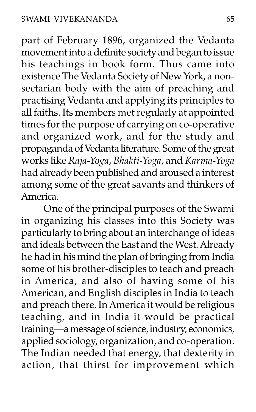part of February 1896, organized the Vedanta movement into a definite society and began to issue his teachings in book form. Thus came into existence The Vedanta Society of New York, a nonsectarian body with the aim of preaching and practising Vedanta and applying its principles to all faiths. Its members met regularly at appointed times for the purpose of carrying on co-operative and organized work, and for the study and propaganda of Vedanta literature. Some of the great works like Raja-Yoga, Bhakti-Yoga, and Karma-Yoga had already been published and aroused a interest among some of the great savants and thinkers of America.

One of the principal purposes of the Swami in organizing his classes into this Society was particularly to bring about an interchange of ideas and ideals between the East and the West. Already he had in his mind the plan of bringing from India some of his brother-disciples to teach and preach in America, and also of having some of his American, and English disciples in India to teach and preach there. In America it would be religious teaching, and in India it would be practical training—a message of science, industry, economics, applied sociology, organization, and co-operation. The Indian needed that energy, that dexterity in action, that thirst for improvement which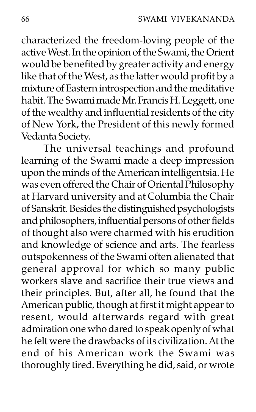characterized the freedom-loving people of the active West. In the opinion of the Swami, the Orient would be benefited by greater activity and energy like that of the West, as the latter would profit by a mixture of Eastern introspection and the meditative habit. The Swami made Mr. Francis H. Leggett, one of the wealthy and influential residents of the city of New York, the President of this newly formed Vedanta Society.

The universal teachings and profound learning of the Swami made a deep impression upon the minds of the American intelligentsia. He was even offered the Chair of Oriental Philosophy at Harvard university and at Columbia the Chair of Sanskrit. Besides the distinguished psychologists and philosophers, influential persons of other fields of thought also were charmed with his erudition and knowledge of science and arts. The fearless outspokenness of the Swami often alienated that general approval for which so many public workers slave and sacrifice their true views and their principles. But, after all, he found that the American public, though at first it might appear to resent, would afterwards regard with great admiration one who dared to speak openly of what he felt were the drawbacks of its civilization. At the end of his American work the Swami was thoroughly tired. Everything he did, said, or wrote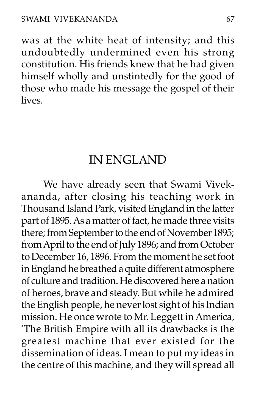was at the white heat of intensity; and this undoubtedly undermined even his strong constitution. His friends knew that he had given himself wholly and unstintedly for the good of those who made his message the gospel of their lives.

#### IN ENGLAND

We have already seen that Swami Vivekananda, after closing his teaching work in Thousand Island Park, visited England in the latter part of 1895. As a matter of fact, he made three visits there; from September to the end of November 1895; from April to the end of July 1896; and from October to December 16, 1896. From the moment he set foot in England he breathed a quite different atmosphere of culture and tradition. He discovered here a nation of heroes, brave and steady. But while he admired the English people, he never lost sight of his Indian mission. He once wrote to Mr. Leggett in America, 'The British Empire with all its drawbacks is the greatest machine that ever existed for the dissemination of ideas. I mean to put my ideas in the centre of this machine, and they will spread all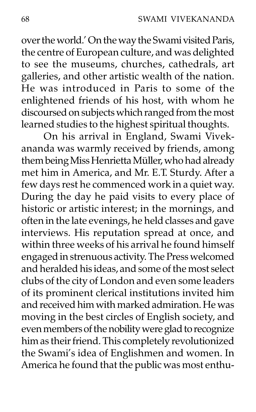over the world.' On the way the Swami visited Paris, the centre of European culture, and was delighted to see the museums, churches, cathedrals, art galleries, and other artistic wealth of the nation. He was introduced in Paris to some of the enlightened friends of his host, with whom he discoursed on subjects which ranged from the most learned studies to the highest spiritual thoughts.

On his arrival in England, Swami Vivekananda was warmly received by friends, among them being Miss Henrietta Müller, who had already met him in America, and Mr. E.T. Sturdy. After a few days rest he commenced work in a quiet way. During the day he paid visits to every place of historic or artistic interest; in the mornings, and often in the late evenings, he held classes and gave interviews. His reputation spread at once, and within three weeks of his arrival he found himself engaged in strenuous activity. The Press welcomed and heralded his ideas, and some of the most select clubs of the city of London and even some leaders of its prominent clerical institutions invited him and received him with marked admiration. He was moving in the best circles of English society, and even members of the nobility were glad to recognize him as their friend. This completely revolutionized the Swami's idea of Englishmen and women. In America he found that the public was most enthu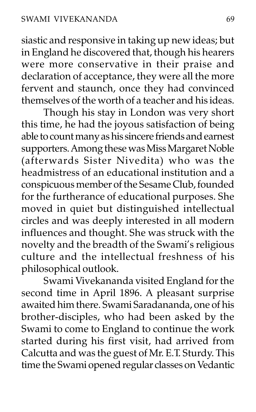siastic and responsive in taking up new ideas; but in England he discovered that, though his hearers were more conservative in their praise and declaration of acceptance, they were all the more fervent and staunch, once they had convinced themselves of the worth of a teacher and his ideas.

Though his stay in London was very short this time, he had the joyous satisfaction of being able to count many as his sincere friends and earnest supporters. Among these was Miss Margaret Noble (afterwards Sister Nivedita) who was the headmistress of an educational institution and a conspicuous member of the Sesame Club, founded for the furtherance of educational purposes. She moved in quiet but distinguished intellectual circles and was deeply interested in all modern influences and thought. She was struck with the novelty and the breadth of the Swami's religious culture and the intellectual freshness of his philosophical outlook.

Swami Vivekananda visited England for the second time in April 1896. A pleasant surprise awaited him there. Swami Saradananda, one of his brother-disciples, who had been asked by the Swami to come to England to continue the work started during his first visit, had arrived from Calcutta and was the guest of Mr. E.T. Sturdy. This time the Swami opened regular classes on Vedantic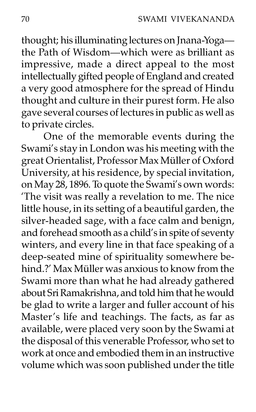thought; his illuminating lectures on Jnana-Yogathe Path of Wisdom—which were as brilliant as impressive, made a direct appeal to the most intellectually gifted people of England and created a very good atmosphere for the spread of Hindu thought and culture in their purest form. He also gave several courses of lectures in public as well as to private circles.

One of the memorable events during the Swami's stay in London was his meeting with the great Orientalist, Professor Max Müller of Oxford University, at his residence, by special invitation, on May 28, 1896. To quote the Swami's own words: 'The visit was really a revelation to me. The nice little house, in its setting of a beautiful garden, the silver-headed sage, with a face calm and benign, and forehead smooth as a child's in spite of seventy winters, and every line in that face speaking of a deep-seated mine of spirituality somewhere behind.?' Max Müller was anxious to know from the Swami more than what he had already gathered about Sri Ramakrishna, and told him that he would be glad to write a larger and fuller account of his Master's life and teachings. The facts, as far as available, were placed very soon by the Swami at the disposal of this venerable Professor, who set to work at once and embodied them in an instructive volume which was soon published under the title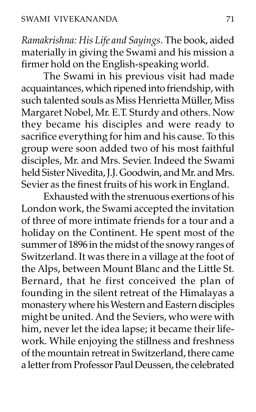Ramakrishna: His Life and Sayings. The book, aided materially in giving the Swami and his mission a firmer hold on the English-speaking world.

The Swami in his previous visit had made acquaintances, which ripened into friendship, with such talented souls as Miss Henrietta Müller, Miss Margaret Nobel, Mr. E.T. Sturdy and others. Now they became his disciples and were ready to sacrifice everything for him and his cause. To this group were soon added two of his most faithful disciples, Mr. and Mrs. Sevier. Indeed the Swami held Sister Nivedita, J.J. Goodwin, and Mr. and Mrs. Sevier as the finest fruits of his work in England.

Exhausted with the strenuous exertions of his London work, the Swami accepted the invitation of three of more intimate friends for a tour and a holiday on the Continent. He spent most of the summer of 1896 in the midst of the snowy ranges of Switzerland. It was there in a village at the foot of the Alps, between Mount Blanc and the Little St. Bernard, that he first conceived the plan of founding in the silent retreat of the Himalayas a monastery where his Western and Eastern disciples might be united. And the Seviers, who were with him, never let the idea lapse; it became their lifework. While enjoying the stillness and freshness of the mountain retreat in Switzerland, there came a letter from Professor Paul Deussen, the celebrated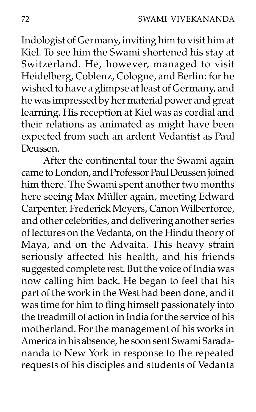Indologist of Germany, inviting him to visit him at Kiel. To see him the Swami shortened his stay at Switzerland. He, however, managed to visit Heidelberg, Coblenz, Cologne, and Berlin: for he wished to have a glimpse at least of Germany, and he was impressed by her material power and great learning. His reception at Kiel was as cordial and their relations as animated as might have been expected from such an ardent Vedantist as Paul Deussen.

After the continental tour the Swami again came to London, and Professor Paul Deussen joined him there. The Swami spent another two months here seeing Max Müller again, meeting Edward Carpenter, Frederick Meyers, Canon Wilberforce, and other celebrities, and delivering another series of lectures on the Vedanta, on the Hindu theory of Maya, and on the Advaita. This heavy strain seriously affected his health, and his friends suggested complete rest. But the voice of India was now calling him back. He began to feel that his part of the work in the West had been done, and it was time for him to fling himself passionately into the treadmill of action in India for the service of his motherland. For the management of his works in America in his absence, he soon sent Swami Saradananda to New York in response to the repeated requests of his disciples and students of Vedanta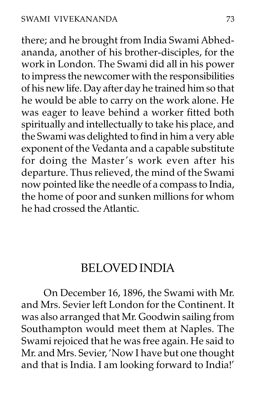there; and he brought from India Swami Abhedananda, another of his brother-disciples, for the work in London. The Swami did all in his power to impress the newcomer with the responsibilities of his new life. Day after day he trained him so that he would be able to carry on the work alone. He was eager to leave behind a worker fitted both spiritually and intellectually to take his place, and the Swami was delighted to find in him a very able exponent of the Vedanta and a capable substitute for doing the Master's work even after his departure. Thus relieved, the mind of the Swami now pointed like the needle of a compass to India, the home of poor and sunken millions for whom he had crossed the Atlantic.

## BELOVED INDIA

On December 16, 1896, the Swami with Mr. and Mrs. Sevier left London for the Continent. It was also arranged that Mr. Goodwin sailing from Southampton would meet them at Naples. The Swami rejoiced that he was free again. He said to Mr. and Mrs. Sevier, 'Now I have but one thought and that is India. I am looking forward to India!'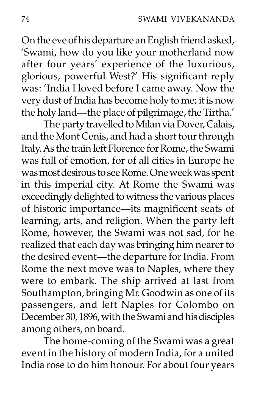On the eve of his departure an English friend asked, 'Swami, how do you like your motherland now after four years' experience of the luxurious, glorious, powerful West?' His significant reply was: 'India I loved before I came away. Now the very dust of India has become holy to me; it is now the holy land—the place of pilgrimage, the Tirtha.<sup>'</sup>

The party travelled to Milan via Dover, Calais, and the Mont Cenis, and had a short tour through Italy. As the train left Florence for Rome, the Swami was full of emotion, for of all cities in Europe he was most desirous to see Rome. One week was spent in this imperial city. At Rome the Swami was exceedingly delighted to witness the various places of historic importance—its magnificent seats of learning, arts, and religion. When the party left Rome, however, the Swami was not sad, for he realized that each day was bringing him nearer to the desired event—the departure for India. From Rome the next move was to Naples, where they were to embark. The ship arrived at last from Southampton, bringing Mr. Goodwin as one of its passengers, and left Naples for Colombo on December 30, 1896, with the Swami and his disciples among others, on board.

The home-coming of the Swami was a great event in the history of modern India, for a united India rose to do him honour. For about four years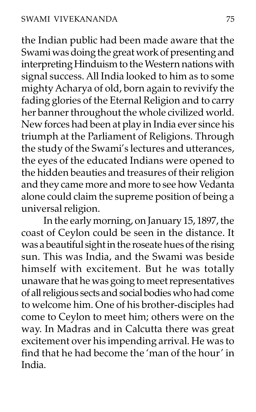the Indian public had been made aware that the Swami was doing the great work of presenting and interpreting Hinduism to the Western nations with signal success. All India looked to him as to some mighty Acharya of old, born again to revivify the fading glories of the Eternal Religion and to carry her banner throughout the whole civilized world. New forces had been at play in India ever since his triumph at the Parliament of Religions. Through the study of the Swami's lectures and utterances, the eyes of the educated Indians were opened to the hidden beauties and treasures of their religion and they came more and more to see how Vedanta alone could claim the supreme position of being a universal religion.

In the early morning, on January 15, 1897, the coast of Ceylon could be seen in the distance. It was a beautiful sight in the roseate hues of the rising sun. This was India, and the Swami was beside himself with excitement. But he was totally unaware that he was going to meet representatives of all religious sects and social bodies who had come to welcome him. One of his brother-disciples had come to Ceylon to meet him; others were on the way. In Madras and in Calcutta there was great excitement over his impending arrival. He was to find that he had become the 'man of the hour' in India.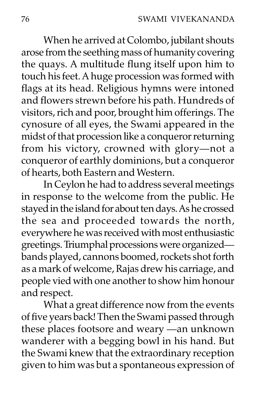When he arrived at Colombo, jubilant shouts arose from the seething mass of humanity covering the quays. A multitude flung itself upon him to touch his feet. A huge procession was formed with flags at its head. Religious hymns were intoned and flowers strewn before his path. Hundreds of visitors, rich and poor, brought him offerings. The cynosure of all eyes, the Swami appeared in the midst of that procession like a conqueror returning from his victory, crowned with glory-not a conqueror of earthly dominions, but a conqueror of hearts, both Eastern and Western.

In Ceylon he had to address several meetings in response to the welcome from the public. He stayed in the island for about ten days. As he crossed the sea and proceeded towards the north, everywhere he was received with most enthusiastic greetings. Triumphal processions were organizedbands played, cannons boomed, rockets shot forth as a mark of welcome, Rajas drew his carriage, and people vied with one another to show him honour and respect.

What a great difference now from the events of five years back! Then the Swami passed through these places footsore and weary - an unknown wanderer with a begging bowl in his hand. But the Swami knew that the extraordinary reception given to him was but a spontaneous expression of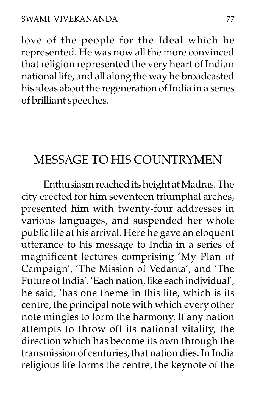love of the people for the Ideal which he represented. He was now all the more convinced that religion represented the very heart of Indian national life, and all along the way he broadcasted his ideas about the regeneration of India in a series of brilliant speeches.

# MESSAGE TO HIS COUNTRYMEN

Enthusiasm reached its height at Madras. The city erected for him seventeen triumphal arches, presented him with twenty-four addresses in various languages, and suspended her whole public life at his arrival. Here he gave an eloquent utterance to his message to India in a series of magnificent lectures comprising 'My Plan of Campaign', 'The Mission of Vedanta', and 'The Future of India'. 'Each nation, like each individual', he said, 'has one theme in this life, which is its centre, the principal note with which every other note mingles to form the harmony. If any nation attempts to throw off its national vitality, the direction which has become its own through the transmission of centuries, that nation dies. In India religious life forms the centre, the keynote of the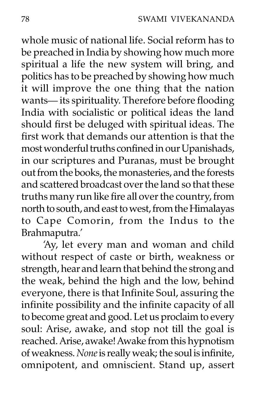whole music of national life. Social reform has to be preached in India by showing how much more spiritual a life the new system will bring, and politics has to be preached by showing how much it will improve the one thing that the nation wants-its spirituality. Therefore before flooding India with socialistic or political ideas the land should first be deluged with spiritual ideas. The first work that demands our attention is that the most wonderful truths confined in our Upanishads, in our scriptures and Puranas, must be brought out from the books, the monasteries, and the forests and scattered broadcast over the land so that these truths many run like fire all over the country, from north to south, and east to west, from the Himalayas to Cape Comorin, from the Indus to the Brahmaputra.'

'Ay, let every man and woman and child without respect of caste or birth, weakness or strength, hear and learn that behind the strong and the weak, behind the high and the low, behind everyone, there is that Infinite Soul, assuring the infinite possibility and the infinite capacity of all to become great and good. Let us proclaim to every soul: Arise, awake, and stop not till the goal is reached. Arise, awake! Awake from this hypnotism of weakness. None is really weak; the soul is infinite, omnipotent, and omniscient. Stand up, assert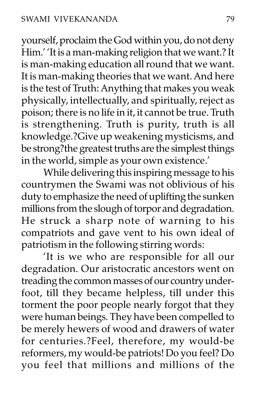yourself, proclaim the God within you, do not deny Him.' 'It is a man-making religion that we want.? It is man-making education all round that we want. It is man-making theories that we want. And here is the test of Truth: Anything that makes you weak physically, intellectually, and spiritually, reject as poison; there is no life in it, it cannot be true. Truth is strengthening. Truth is purity, truth is all knowledge.?Give up weakening mysticisms, and be strong?the greatest truths are the simplest things in the world, simple as your own existence.'

While delivering this inspiring message to his countrymen the Swami was not oblivious of his duty to emphasize the need of uplifting the sunken millions from the slough of torpor and degradation. He struck a sharp note of warning to his compatriots and gave vent to his own ideal of patriotism in the following stirring words:

'It is we who are responsible for all our degradation. Our aristocratic ancestors went on treading the common masses of our country underfoot, till they became helpless, till under this torment the poor people nearly forgot that they were human beings. They have been compelled to be merely hewers of wood and drawers of water for centuries.?Feel, therefore, my would-be reformers, my would-be patriots! Do you feel? Do you feel that millions and millions of the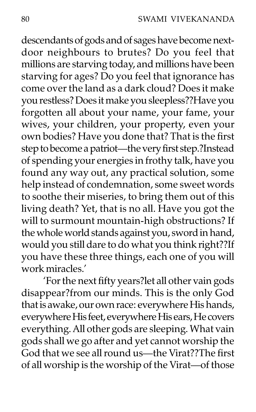descendants of gods and of sages have become nextdoor neighbours to brutes? Do you feel that millions are starving today, and millions have been starving for ages? Do you feel that ignorance has come over the land as a dark cloud? Does it make you restless? Does it make you sleepless??Have you forgotten all about your name, your fame, your wives, your children, your property, even your own bodies? Have you done that? That is the first step to become a patriot-the very first step.?Instead of spending your energies in frothy talk, have you found any way out, any practical solution, some help instead of condemnation, some sweet words to soothe their miseries, to bring them out of this living death? Yet, that is no all. Have you got the will to surmount mountain-high obstructions? If the whole world stands against you, sword in hand, would you still dare to do what you think right??If you have these three things, each one of you will work miracles.'

'For the next fifty years?let all other vain gods disappear?from our minds. This is the only God that is awake, our own race: everywhere His hands, everywhere His feet, everywhere His ears, He covers everything. All other gods are sleeping. What vain gods shall we go after and yet cannot worship the God that we see all round us—the Virat??The first of all worship is the worship of the Virat-of those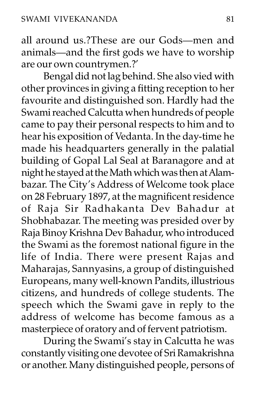all around us.?These are our Gods—men and animals—and the first gods we have to worship are our own countrymen.?'

Bengal did not lag behind. She also vied with other provinces in giving a fitting reception to her favourite and distinguished son. Hardly had the Swami reached Calcutta when hundreds of people came to pay their personal respects to him and to hear his exposition of Vedanta. In the day-time he made his headquarters generally in the palatial building of Gopal Lal Seal at Baranagore and at night he stayed at the Math which was then at Alambazar. The City's Address of Welcome took place on 28 February 1897, at the magnificent residence of Raja Sir Radhakanta Dev Bahadur at Shobhabazar. The meeting was presided over by Raja Binoy Krishna Dev Bahadur, who introduced the Swami as the foremost national figure in the life of India. There were present Rajas and Maharajas, Sannyasins, a group of distinguished Europeans, many well-known Pandits, illustrious citizens, and hundreds of college students. The speech which the Swami gave in reply to the address of welcome has become famous as a masterpiece of oratory and of fervent patriotism.

During the Swami's stay in Calcutta he was constantly visiting one devotee of Sri Ramakrishna or another. Many distinguished people, persons of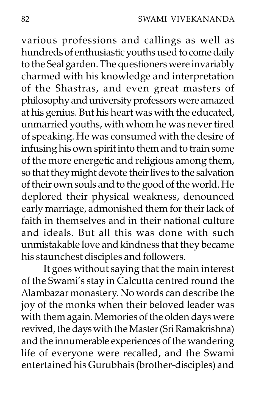various professions and callings as well as hundreds of enthusiastic youths used to come daily to the Seal garden. The questioners were invariably charmed with his knowledge and interpretation of the Shastras, and even great masters of philosophy and university professors were amazed at his genius. But his heart was with the educated, unmarried youths, with whom he was never tired of speaking. He was consumed with the desire of infusing his own spirit into them and to train some of the more energetic and religious among them, so that they might devote their lives to the salvation of their own souls and to the good of the world. He deplored their physical weakness, denounced early marriage, admonished them for their lack of faith in themselves and in their national culture and ideals. But all this was done with such unmistakable love and kindness that they became his staunchest disciples and followers.

It goes without saying that the main interest of the Swami's stay in Calcutta centred round the Alambazar monastery. No words can describe the joy of the monks when their beloved leader was with them again. Memories of the olden days were revived, the days with the Master (Sri Ramakrishna) and the innumerable experiences of the wandering life of everyone were recalled, and the Swami entertained his Gurubhais (brother-disciples) and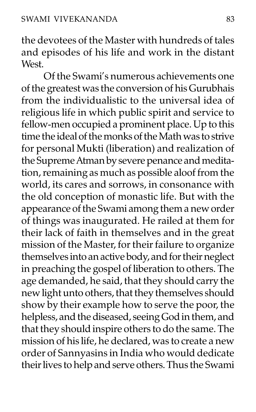the devotees of the Master with hundreds of tales and episodes of his life and work in the distant West.

Of the Swamiís numerous achievements one of the greatest was the conversion of his Gurubhais from the individualistic to the universal idea of religious life in which public spirit and service to fellow-men occupied a prominent place. Up to this time the ideal of the monks of the Math was to strive for personal Mukti (liberation) and realization of the Supreme Atman by severe penance and meditation, remaining as much as possible aloof from the world, its cares and sorrows, in consonance with the old conception of monastic life. But with the appearance of the Swami among them a new order of things was inaugurated. He railed at them for their lack of faith in themselves and in the great mission of the Master, for their failure to organize themselves into an active body, and for their neglect in preaching the gospel of liberation to others. The age demanded, he said, that they should carry the new light unto others, that they themselves should show by their example how to serve the poor, the helpless, and the diseased, seeing God in them, and that they should inspire others to do the same. The mission of his life, he declared, was to create a new order of Sannyasins in India who would dedicate their lives to help and serve others. Thus the Swami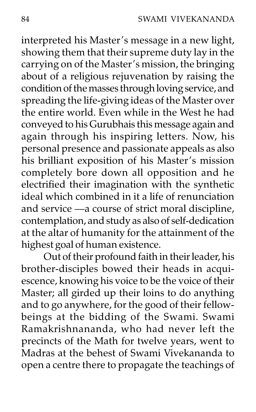interpreted his Master's message in a new light, showing them that their supreme duty lay in the carrying on of the Master's mission, the bringing about of a religious rejuvenation by raising the condition of the masses through loving service, and spreading the life-giving ideas of the Master over the entire world. Even while in the West he had conveyed to his Gurubhais this message again and again through his inspiring letters. Now, his personal presence and passionate appeals as also his brilliant exposition of his Master's mission completely bore down all opposition and he electrified their imagination with the synthetic ideal which combined in it a life of renunciation and service - a course of strict moral discipline, contemplation, and study as also of self-dedication at the altar of humanity for the attainment of the highest goal of human existence.

Out of their profound faith in their leader, his brother-disciples bowed their heads in acquiescence, knowing his voice to be the voice of their Master; all girded up their loins to do anything and to go anywhere, for the good of their fellowbeings at the bidding of the Swami. Swami Ramakrishnananda, who had never left the precincts of the Math for twelve years, went to Madras at the behest of Swami Vivekananda to open a centre there to propagate the teachings of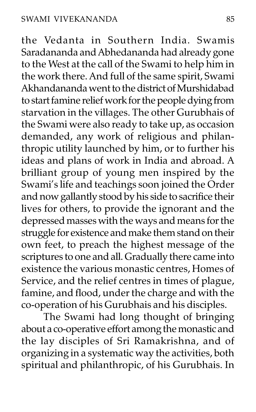the Vedanta in Southern India. Swamis Saradananda and Abhedananda had already gone to the West at the call of the Swami to help him in the work there. And full of the same spirit, Swami Akhandananda went to the district of Murshidabad to start famine relief work for the people dying from starvation in the villages. The other Gurubhais of the Swami were also ready to take up, as occasion demanded, any work of religious and philanthropic utility launched by him, or to further his ideas and plans of work in India and abroad. A brilliant group of young men inspired by the Swami's life and teachings soon joined the Order and now gallantly stood by his side to sacrifice their lives for others, to provide the ignorant and the depressed masses with the ways and means for the struggle for existence and make them stand on their own feet, to preach the highest message of the scriptures to one and all. Gradually there came into existence the various monastic centres, Homes of Service, and the relief centres in times of plague, famine, and flood, under the charge and with the co-operation of his Gurubhais and his disciples.

The Swami had long thought of bringing about a co-operative effort among the monastic and the lay disciples of Sri Ramakrishna, and of organizing in a systematic way the activities, both spiritual and philanthropic, of his Gurubhais. In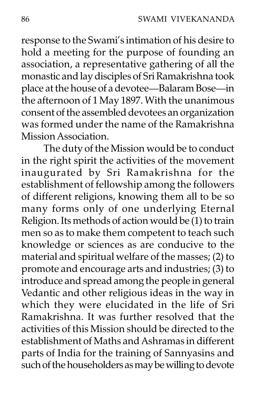response to the Swami's intimation of his desire to hold a meeting for the purpose of founding an association, a representative gathering of all the monastic and lay disciples of Sri Ramakrishna took place at the house of a devotee-Balaram Bose-in the afternoon of 1 May 1897. With the unanimous consent of the assembled devotees an organization was formed under the name of the Ramakrishna Mission Association.

The duty of the Mission would be to conduct in the right spirit the activities of the movement inaugurated by Sri Ramakrishna for the establishment of fellowship among the followers of different religions, knowing them all to be so many forms only of one underlying Eternal Religion. Its methods of action would be (1) to train men so as to make them competent to teach such knowledge or sciences as are conducive to the material and spiritual welfare of the masses; (2) to promote and encourage arts and industries; (3) to introduce and spread among the people in general Vedantic and other religious ideas in the way in which they were elucidated in the life of Sri Ramakrishna. It was further resolved that the activities of this Mission should be directed to the establishment of Maths and Ashramas in different parts of India for the training of Sannyasins and such of the householders as may be willing to devote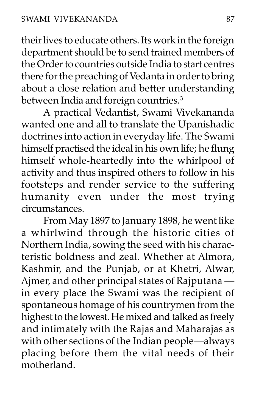their lives to educate others. Its work in the foreign department should be to send trained members of the Order to countries outside India to start centres there for the preaching of Vedanta in order to bring about a close relation and better understanding between India and foreign countries.<sup>3</sup>

A practical Vedantist, Swami Vivekananda wanted one and all to translate the Upanishadic doctrines into action in everyday life. The Swami himself practised the ideal in his own life; he flung himself whole-heartedly into the whirlpool of activity and thus inspired others to follow in his footsteps and render service to the suffering humanity even under the most trying circumstances.

From May 1897 to January 1898, he went like a whirlwind through the historic cities of Northern India, sowing the seed with his characteristic boldness and zeal. Whether at Almora, Kashmir, and the Punjab, or at Khetri, Alwar, Ajmer, and other principal states of Rajputana in every place the Swami was the recipient of spontaneous homage of his countrymen from the highest to the lowest. He mixed and talked as freely and intimately with the Rajas and Maharajas as with other sections of the Indian people-always placing before them the vital needs of their motherland.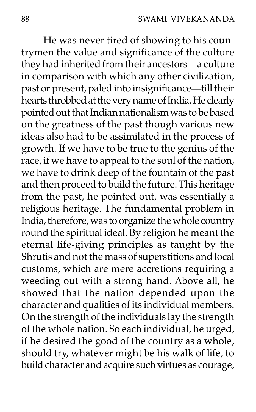He was never tired of showing to his countrymen the value and significance of the culture they had inherited from their ancestors-a culture in comparison with which any other civilization, past or present, paled into insignificance—till their hearts throbbed at the very name of India. He clearly pointed out that Indian nationalism was to be based on the greatness of the past though various new ideas also had to be assimilated in the process of growth. If we have to be true to the genius of the race, if we have to appeal to the soul of the nation, we have to drink deep of the fountain of the past and then proceed to build the future. This heritage from the past, he pointed out, was essentially a religious heritage. The fundamental problem in India, therefore, was to organize the whole country round the spiritual ideal. By religion he meant the eternal life-giving principles as taught by the Shrutis and not the mass of superstitions and local customs, which are mere accretions requiring a weeding out with a strong hand. Above all, he showed that the nation depended upon the character and qualities of its individual members. On the strength of the individuals lay the strength of the whole nation. So each individual, he urged, if he desired the good of the country as a whole, should try, whatever might be his walk of life, to build character and acquire such virtues as courage,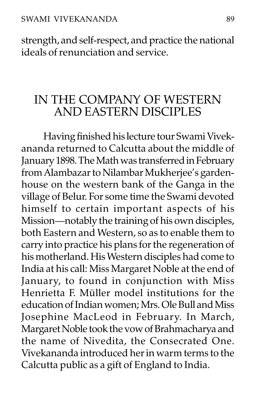strength, and self-respect, and practice the national ideals of renunciation and service.

## IN THE COMPANY OF WESTERN AND EASTERN DISCIPLES

Having finished his lecture tour Swami Vivekananda returned to Calcutta about the middle of January 1898. The Math was transferred in February from Alambazar to Nilambar Mukherjee's gardenhouse on the western bank of the Ganga in the village of Belur. For some time the Swami devoted himself to certain important aspects of his Mission-notably the training of his own disciples, both Eastern and Western, so as to enable them to carry into practice his plans for the regeneration of his motherland. His Western disciples had come to India at his call: Miss Margaret Noble at the end of January, to found in conjunction with Miss Henrietta F. Müller model institutions for the education of Indian women; Mrs. Ole Bull and Miss Josephine MacLeod in February. In March, Margaret Noble took the vow of Brahmacharya and the name of Nivedita, the Consecrated One. Vivekananda introduced her in warm terms to the Calcutta public as a gift of England to India.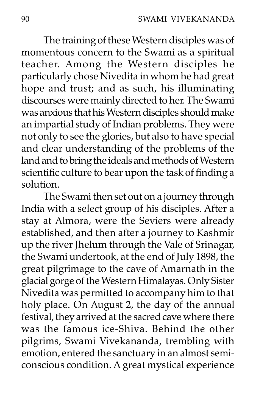The training of these Western disciples was of momentous concern to the Swami as a spiritual teacher. Among the Western disciples he particularly chose Nivedita in whom he had great hope and trust; and as such, his illuminating discourses were mainly directed to her. The Swami was anxious that his Western disciples should make an impartial study of Indian problems. They were not only to see the glories, but also to have special and clear understanding of the problems of the land and to bring the ideals and methods of Western scientific culture to bear upon the task of finding a solution.

The Swami then set out on a journey through India with a select group of his disciples. After a stay at Almora, were the Seviers were already established, and then after a journey to Kashmir up the river Jhelum through the Vale of Srinagar, the Swami undertook, at the end of July 1898, the great pilgrimage to the cave of Amarnath in the glacial gorge of the Western Himalayas. Only Sister Nivedita was permitted to accompany him to that holy place. On August 2, the day of the annual festival, they arrived at the sacred cave where there was the famous ice-Shiva. Behind the other pilgrims, Swami Vivekananda, trembling with emotion, entered the sanctuary in an almost semiconscious condition. A great mystical experience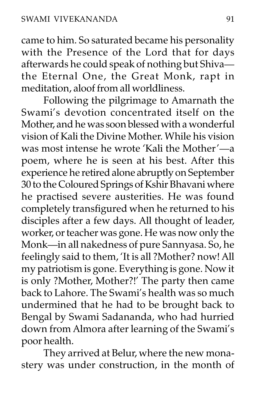came to him. So saturated became his personality with the Presence of the Lord that for days afterwards he could speak of nothing but Shivathe Eternal One, the Great Monk, rapt in meditation, aloof from all worldliness.

Following the pilgrimage to Amarnath the Swami's devotion concentrated itself on the Mother, and he was soon blessed with a wonderful vision of Kali the Divine Mother. While his vision was most intense he wrote 'Kali the Mother'—a poem, where he is seen at his best. After this experience he retired alone abruptly on September 30 to the Coloured Springs of Kshir Bhavani where he practised severe austerities. He was found completely transfigured when he returned to his disciples after a few days. All thought of leader, worker, or teacher was gone. He was now only the Monk—in all nakedness of pure Sannyasa. So, he feelingly said to them, 'It is all ?Mother? now! All my patriotism is gone. Everything is gone. Now it is only ?Mother, Mother?!' The party then came back to Lahore. The Swami's health was so much undermined that he had to be brought back to Bengal by Swami Sadananda, who had hurried down from Almora after learning of the Swami's poor health.

They arrived at Belur, where the new monastery was under construction, in the month of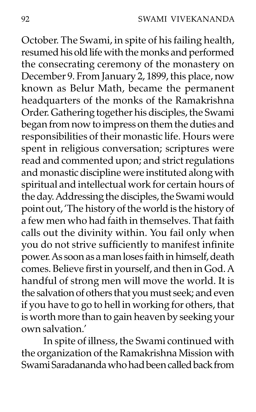October. The Swami, in spite of his failing health, resumed his old life with the monks and performed the consecrating ceremony of the monastery on December 9. From January 2, 1899, this place, now known as Belur Math, became the permanent headquarters of the monks of the Ramakrishna Order. Gathering together his disciples, the Swami began from now to impress on them the duties and responsibilities of their monastic life. Hours were spent in religious conversation; scriptures were read and commented upon; and strict regulations and monastic discipline were instituted along with spiritual and intellectual work for certain hours of the day. Addressing the disciples, the Swami would point out, 'The history of the world is the history of a few men who had faith in themselves. That faith calls out the divinity within. You fail only when you do not strive sufficiently to manifest infinite power. As soon as a man loses faith in himself, death comes. Believe first in yourself, and then in God. A handful of strong men will move the world. It is the salvation of others that you must seek; and even if you have to go to hell in working for others, that is worth more than to gain heaven by seeking your own salvation.'

In spite of illness, the Swami continued with the organization of the Ramakrishna Mission with Swami Saradananda who had been called back from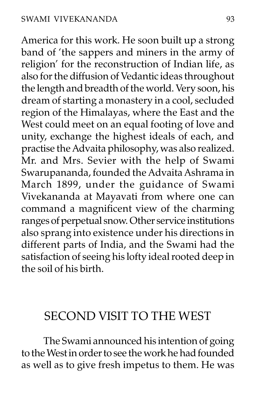America for this work. He soon built up a strong band of 'the sappers and miners in the army of religion' for the reconstruction of Indian life, as also for the diffusion of Vedantic ideas throughout the length and breadth of the world. Very soon, his dream of starting a monastery in a cool, secluded region of the Himalayas, where the East and the West could meet on an equal footing of love and unity, exchange the highest ideals of each, and practise the Advaita philosophy, was also realized. Mr. and Mrs. Sevier with the help of Swami Swarupananda, founded the Advaita Ashrama in March 1899, under the guidance of Swami Vivekananda at Mayavati from where one can command a magnificent view of the charming ranges of perpetual snow. Other service institutions also sprang into existence under his directions in different parts of India, and the Swami had the satisfaction of seeing his lofty ideal rooted deep in the soil of his birth.

#### SECOND VISIT TO THE WEST

The Swami announced his intention of going to the West in order to see the work he had founded as well as to give fresh impetus to them. He was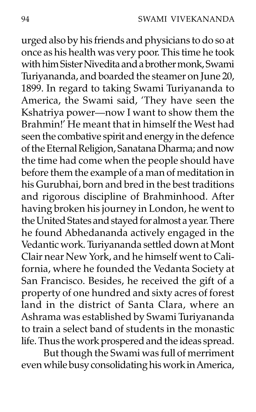urged also by his friends and physicians to do so at once as his health was very poor. This time he took with him Sister Nivedita and a brother monk, Swami Turiyananda, and boarded the steamer on June 20, 1899. In regard to taking Swami Turiyananda to America, the Swami said, 'They have seen the Kshatriya power-now I want to show them the Brahmin!' He meant that in himself the West had seen the combative spirit and energy in the defence of the Eternal Religion, Sanatana Dharma; and now the time had come when the people should have before them the example of a man of meditation in his Gurubhai, born and bred in the best traditions and rigorous discipline of Brahminhood. After having broken his journey in London, he went to the United States and stayed for almost a year. There he found Abhedananda actively engaged in the Vedantic work. Turiyananda settled down at Mont Clair near New York, and he himself went to California, where he founded the Vedanta Society at San Francisco. Besides, he received the gift of a property of one hundred and sixty acres of forest land in the district of Santa Clara, where an Ashrama was established by Swami Turiyananda to train a select band of students in the monastic life. Thus the work prospered and the ideas spread.

But though the Swami was full of merriment even while busy consolidating his work in America,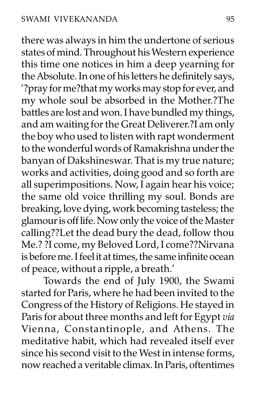there was always in him the undertone of serious states of mind. Throughout his Western experience this time one notices in him a deep yearning for the Absolute. In one of his letters he definitely says, ë?pray for me?that my works may stop for ever, and my whole soul be absorbed in the Mother.?The battles are lost and won. I have bundled my things, and am waiting for the Great Deliverer.?I am only the boy who used to listen with rapt wonderment to the wonderful words of Ramakrishna under the banyan of Dakshineswar. That is my true nature; works and activities, doing good and so forth are all superimpositions. Now, I again hear his voice; the same old voice thrilling my soul. Bonds are breaking, love dying, work becoming tasteless; the glamour is off life. Now only the voice of the Master calling??Let the dead bury the dead, follow thou Me.? ?I come, my Beloved Lord, I come??Nirvana is before me. I feel it at times, the same infinite ocean of peace, without a ripple, a breath.'

Towards the end of July 1900, the Swami started for Paris, where he had been invited to the Congress of the History of Religions. He stayed in Paris for about three months and left for Egypt via Vienna, Constantinople, and Athens. The meditative habit, which had revealed itself ever since his second visit to the West in intense forms, now reached a veritable climax. In Paris, oftentimes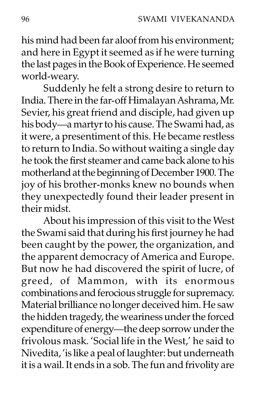his mind had been far aloof from his environment; and here in Egypt it seemed as if he were turning the last pages in the Book of Experience. He seemed world-weary.

Suddenly he felt a strong desire to return to India. There in the far-off Himalayan Ashrama, Mr. Sevier, his great friend and disciple, had given up his body—a martyr to his cause. The Swami had, as it were, a presentiment of this. He became restless to return to India. So without waiting a single day he took the first steamer and came back alone to his motherland at the beginning of December 1900. The joy of his brother-monks knew no bounds when they unexpectedly found their leader present in their midst.

About his impression of this visit to the West the Swami said that during his first journey he had been caught by the power, the organization, and the apparent democracy of America and Europe. But now he had discovered the spirit of lucre, of greed, of Mammon, with its enormous combinations and ferocious struggle for supremacy. Material brilliance no longer deceived him. He saw the hidden tragedy, the weariness under the forced expenditure of energy—the deep sorrow under the frivolous mask. 'Social life in the West,' he said to Nivedita, 'is like a peal of laughter: but underneath it is a wail. It ends in a sob. The fun and frivolity are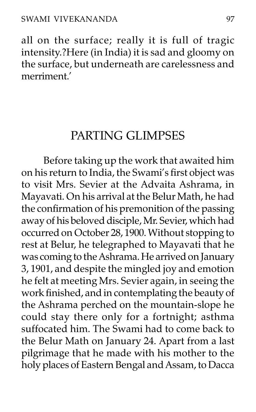all on the surface; really it is full of tragic intensity.?Here (in India) it is sad and gloomy on the surface, but underneath are carelessness and merriment.'

# PARTING GLIMPSES

Before taking up the work that awaited him on his return to India, the Swami's first object was to visit Mrs. Sevier at the Advaita Ashrama, in Mayavati. On his arrival at the Belur Math, he had the confirmation of his premonition of the passing away of his beloved disciple, Mr. Sevier, which had occurred on October 28, 1900. Without stopping to rest at Belur, he telegraphed to Mayavati that he was coming to the Ashrama. He arrived on January 3, 1901, and despite the mingled joy and emotion he felt at meeting Mrs. Sevier again, in seeing the work finished, and in contemplating the beauty of the Ashrama perched on the mountain-slope he could stay there only for a fortnight; asthma suffocated him. The Swami had to come back to the Belur Math on January 24. Apart from a last pilgrimage that he made with his mother to the holy places of Eastern Bengal and Assam, to Dacca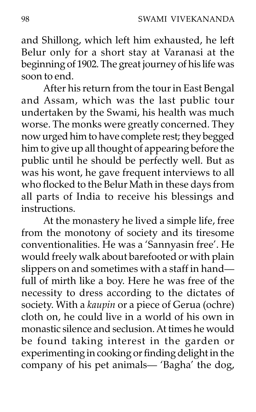and Shillong, which left him exhausted, he left Belur only for a short stay at Varanasi at the beginning of 1902. The great journey of his life was soon to end.

After his return from the tour in East Bengal and Assam, which was the last public tour undertaken by the Swami, his health was much worse. The monks were greatly concerned. They now urged him to have complete rest; they begged him to give up all thought of appearing before the public until he should be perfectly well. But as was his wont, he gave frequent interviews to all who flocked to the Belur Math in these days from all parts of India to receive his blessings and instructions.

At the monastery he lived a simple life, free from the monotony of society and its tiresome conventionalities. He was a 'Sannyasin free'. He would freely walk about barefooted or with plain slippers on and sometimes with a staff in hand full of mirth like a boy. Here he was free of the necessity to dress according to the dictates of society. With a kaupin or a piece of Gerua (ochre) cloth on, he could live in a world of his own in monastic silence and seclusion. At times he would be found taking interest in the garden or experimenting in cooking or finding delight in the company of his pet animals— 'Bagha' the dog,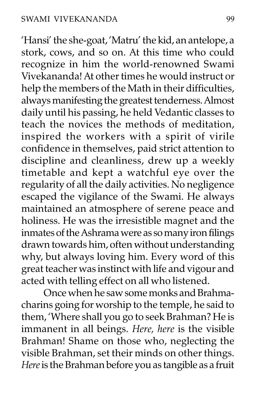'Hansi' the she-goat, 'Matru' the kid, an antelope, a stork, cows, and so on. At this time who could recognize in him the world-renowned Swami Vivekananda! At other times he would instruct or help the members of the Math in their difficulties, always manifesting the greatest tenderness. Almost daily until his passing, he held Vedantic classes to teach the novices the methods of meditation, inspired the workers with a spirit of virile confidence in themselves, paid strict attention to discipline and cleanliness, drew up a weekly timetable and kept a watchful eye over the regularity of all the daily activities. No negligence escaped the vigilance of the Swami. He always maintained an atmosphere of serene peace and holiness. He was the irresistible magnet and the inmates of the Ashrama were as so many iron filings drawn towards him, often without understanding why, but always loving him. Every word of this great teacher was instinct with life and vigour and acted with telling effect on all who listened.

Once when he saw some monks and Brahmacharins going for worship to the temple, he said to them, 'Where shall you go to seek Brahman? He is immanent in all beings. Here, here is the visible Brahman! Shame on those who, neglecting the visible Brahman, set their minds on other things. Here is the Brahman before you as tangible as a fruit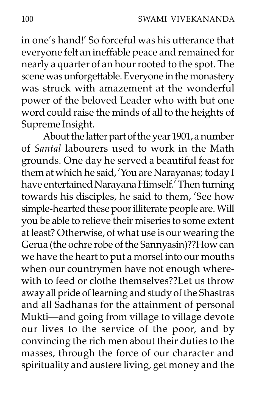in one's hand!' So forceful was his utterance that everyone felt an ineffable peace and remained for nearly a quarter of an hour rooted to the spot. The scene was unforgettable. Everyone in the monastery was struck with amazement at the wonderful power of the beloved Leader who with but one word could raise the minds of all to the heights of Supreme Insight.

About the latter part of the year 1901, a number of Santal labourers used to work in the Math grounds. One day he served a beautiful feast for them at which he said, 'You are Narayanas; today I have entertained Narayana Himself.' Then turning towards his disciples, he said to them, 'See how simple-hearted these poor illiterate people are. Will you be able to relieve their miseries to some extent at least? Otherwise, of what use is our wearing the Gerua (the ochre robe of the Sannyasin)??How can we have the heart to put a morsel into our mouths when our countrymen have not enough wherewith to feed or clothe themselves??Let us throw away all pride of learning and study of the Shastras and all Sadhanas for the attainment of personal Mukti-and going from village to village devote our lives to the service of the poor, and by convincing the rich men about their duties to the masses, through the force of our character and spirituality and austere living, get money and the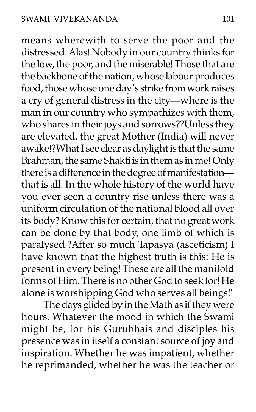means wherewith to serve the poor and the distressed. Alas! Nobody in our country thinks for the low, the poor, and the miserable! Those that are the backbone of the nation, whose labour produces food, those whose one day's strike from work raises a cry of general distress in the city-where is the man in our country who sympathizes with them, who shares in their joys and sorrows??Unless they are elevated, the great Mother (India) will never awake!?What I see clear as daylight is that the same Brahman, the same Shakti is in them as in me! Only there is a difference in the degree of manifestationthat is all. In the whole history of the world have you ever seen a country rise unless there was a uniform circulation of the national blood all over its body? Know this for certain, that no great work can be done by that body, one limb of which is paralysed.?After so much Tapasya (asceticism) I have known that the highest truth is this: He is present in every being! These are all the manifold forms of Him. There is no other God to seek for! He alone is worshipping God who serves all beings!'

The days glided by in the Math as if they were hours. Whatever the mood in which the Swami might be, for his Gurubhais and disciples his presence was in itself a constant source of joy and inspiration. Whether he was impatient, whether he reprimanded, whether he was the teacher or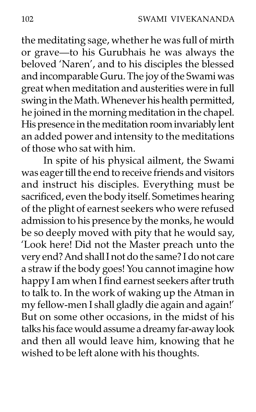the meditating sage, whether he was full of mirth or grave-to his Gurubhais he was always the beloved 'Naren', and to his disciples the blessed and incomparable Guru. The joy of the Swami was great when meditation and austerities were in full swing in the Math. Whenever his health permitted, he joined in the morning meditation in the chapel. His presence in the meditation room invariably lent an added power and intensity to the meditations of those who sat with him.

In spite of his physical ailment, the Swami was eager till the end to receive friends and visitors and instruct his disciples. Everything must be sacrificed, even the body itself. Sometimes hearing of the plight of earnest seekers who were refused admission to his presence by the monks, he would be so deeply moved with pity that he would say, 'Look here! Did not the Master preach unto the very end? And shall I not do the same? I do not care a straw if the body goes! You cannot imagine how happy I am when I find earnest seekers after truth to talk to. In the work of waking up the Atman in my fellow-men I shall gladly die again and again!' But on some other occasions, in the midst of his talks his face would assume a dreamy far-away look and then all would leave him, knowing that he wished to be left alone with his thoughts.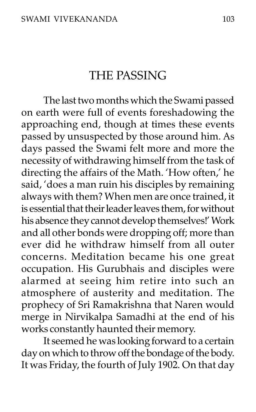#### THE PASSING

The last two months which the Swami passed on earth were full of events foreshadowing the approaching end, though at times these events passed by unsuspected by those around him. As days passed the Swami felt more and more the necessity of withdrawing himself from the task of directing the affairs of the Math. 'How often,' he said, 'does a man ruin his disciples by remaining always with them? When men are once trained, it is essential that their leader leaves them, for without his absence they cannot develop themselves!' Work and all other bonds were dropping off; more than ever did he withdraw himself from all outer concerns. Meditation became his one great occupation. His Gurubhais and disciples were alarmed at seeing him retire into such an atmosphere of austerity and meditation. The prophecy of Sri Ramakrishna that Naren would merge in Nirvikalpa Samadhi at the end of his works constantly haunted their memory.

It seemed he was looking forward to a certain day on which to throw off the bondage of the body. It was Friday, the fourth of July 1902. On that day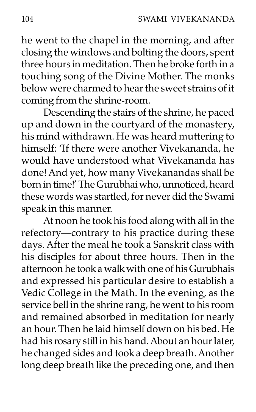he went to the chapel in the morning, and after closing the windows and bolting the doors, spent three hours in meditation. Then he broke forth in a touching song of the Divine Mother. The monks below were charmed to hear the sweet strains of it coming from the shrine-room.

Descending the stairs of the shrine, he paced up and down in the courtyard of the monastery, his mind withdrawn. He was heard muttering to himself: 'If there were another Vivekananda, he would have understood what Vivekananda has done! And yet, how many Vivekanandas shall be born in time!' The Gurubhai who, unnoticed, heard these words was startled, for never did the Swami speak in this manner.

At noon he took his food along with all in the refectory—contrary to his practice during these days. After the meal he took a Sanskrit class with his disciples for about three hours. Then in the afternoon he took a walk with one of his Gurubhais and expressed his particular desire to establish a Vedic College in the Math. In the evening, as the service bell in the shrine rang, he went to his room and remained absorbed in meditation for nearly an hour. Then he laid himself down on his bed. He had his rosary still in his hand. About an hour later, he changed sides and took a deep breath. Another long deep breath like the preceding one, and then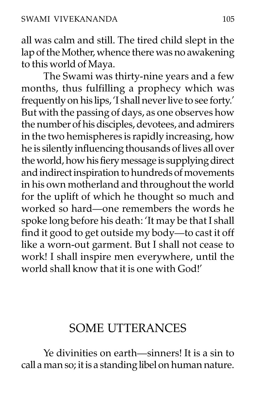all was calm and still. The tired child slept in the lap of the Mother, whence there was no awakening to this world of Maya.

The Swami was thirty-nine years and a few months, thus fulfilling a prophecy which was frequently on his lips, 'I shall never live to see forty.' But with the passing of days, as one observes how the number of his disciples, devotees, and admirers in the two hemispheres is rapidly increasing, how he is silently influencing thousands of lives all over the world, how his fiery message is supplying direct and indirect inspiration to hundreds of movements in his own motherland and throughout the world for the uplift of which he thought so much and worked so hard—one remembers the words he spoke long before his death: 'It may be that I shall find it good to get outside my body-to cast it off like a worn-out garment. But I shall not cease to work! I shall inspire men everywhere, until the world shall know that it is one with God!'

## SOME UTTERANCES

Ye divinities on earth—sinners! It is a sin to call a man so; it is a standing libel on human nature.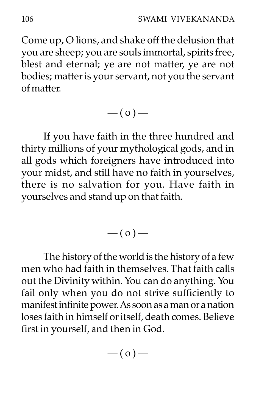Come up, O lions, and shake off the delusion that you are sheep; you are souls immortal, spirits free, blest and eternal; ye are not matter, ye are not bodies; matter is your servant, not you the servant of matter.

 $(\circ)$  –

If you have faith in the three hundred and thirty millions of your mythological gods, and in all gods which foreigners have introduced into your midst, and still have no faith in yourselves, there is no salvation for you. Have faith in yourselves and stand up on that faith.

 $(\circ)$  –

The history of the world is the history of a few men who had faith in themselves. That faith calls out the Divinity within. You can do anything. You fail only when you do not strive sufficiently to manifest infinite power. As soon as a man or a nation loses faith in himself or itself, death comes. Believe first in yourself, and then in God.

 $(\circ)$  –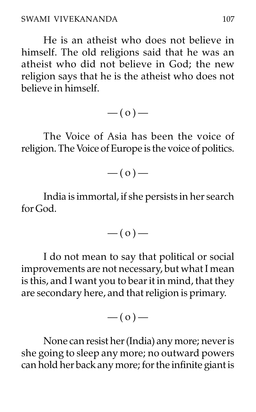He is an atheist who does not believe in himself. The old religions said that he was an atheist who did not believe in God; the new religion says that he is the atheist who does not believe in himself.

 $(\circ)$  –

The Voice of Asia has been the voice of religion. The Voice of Europe is the voice of politics.

 $(\circ)$  –

India is immortal, if she persists in her search for God.

 $(\circ)$  –

I do not mean to say that political or social improvements are not necessary, but what I mean is this, and I want you to bear it in mind, that they are secondary here, and that religion is primary.

 $\overline{\phantom{a}}$  $\overline{\phantom{a}}$  $\overline{\phantom{a}}$  $\overline{\phantom{a}}$  $\overline{\phantom{a}}$  $\overline{\phantom{a}}$  $\overline{\phantom{a}}$  $\overline{\phantom{a}}$  $\overline{\phantom{a}}$ 

None can resist her (India) any more; never is she going to sleep any more; no outward powers can hold her back any more; for the infinite giant is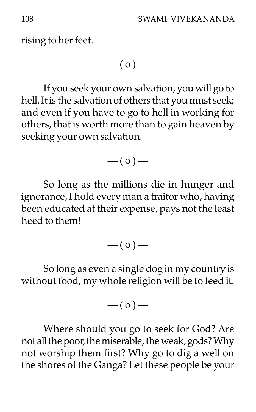rising to her feet.

 $\overline{\phantom{a}}$  $\overline{\phantom{a}}$  $\overline{\phantom{a}}$  $\overline{\phantom{a}}$  $\overline{\phantom{a}}$  $\overline{\phantom{a}}$  $\overline{\phantom{a}}$  $\overline{\phantom{a}}$  $\overline{\phantom{a}}$ 

If you seek your own salvation, you will go to hell. It is the salvation of others that you must seek; and even if you have to go to hell in working for others, that is worth more than to gain heaven by seeking your own salvation.

So long as the millions die in hunger and ignorance, I hold every man a traitor who, having been educated at their expense, pays not the least heed to them!

 $(\circ)$  –

 $(\circ)$  –

So long as even a single dog in my country is without food, my whole religion will be to feed it.

 $(\circ)$  –

Where should you go to seek for God? Are not all the poor, the miserable, the weak, gods? Why not worship them first? Why go to dig a well on the shores of the Ganga? Let these people be your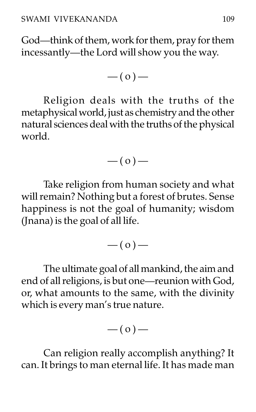God—think of them, work for them, pray for them incessantly—the Lord will show you the way.

 $\overline{\phantom{a}}$  $\overline{\phantom{a}}$  $\overline{\phantom{a}}$  $\overline{\phantom{a}}$  $\overline{\phantom{a}}$  $\overline{\phantom{a}}$  $\overline{\phantom{a}}$  $\overline{\phantom{a}}$  $\overline{\phantom{a}}$  $\overline{\phantom{a}}$ 

Religion deals with the truths of the metaphysical world, just as chemistry and the other natural sciences deal with the truths of the physical world.

Take religion from human society and what will remain? Nothing but a forest of brutes. Sense happiness is not the goal of humanity; wisdom (Jnana) is the goal of all life.

 $(\circ)$  –

 $(\circ)$  –

The ultimate goal of all mankind, the aim and end of all religions, is but one-reunion with God, or, what amounts to the same, with the divinity which is every man's true nature.

 $\overline{\phantom{a}}$  $\overline{\phantom{a}}$  $\overline{\phantom{a}}$  $\overline{\phantom{a}}$  $\overline{\phantom{a}}$  $\overline{\phantom{a}}$  $\overline{\phantom{a}}$  $\overline{\phantom{a}}$  $\overline{\phantom{a}}$  $\overline{\phantom{a}}$ 

Can religion really accomplish anything? It can. It brings to man eternal life. It has made man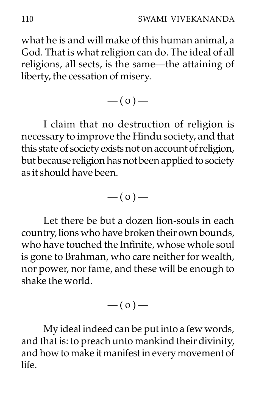what he is and will make of this human animal, a God. That is what religion can do. The ideal of all religions, all sects, is the same-the attaining of liberty, the cessation of misery.

 $(\circ)$  –

I claim that no destruction of religion is necessary to improve the Hindu society, and that this state of society exists not on account of religion, but because religion has not been applied to society as it should have been.

 $(\circ)$  –

Let there be but a dozen lion-souls in each country, lions who have broken their own bounds, who have touched the Infinite, whose whole soul is gone to Brahman, who care neither for wealth, nor power, nor fame, and these will be enough to shake the world.

 $(\circ)$  –

My ideal indeed can be put into a few words, and that is: to preach unto mankind their divinity, and how to make it manifest in every movement of life.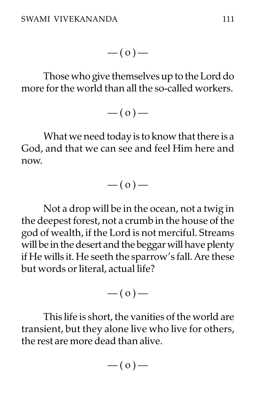$\overline{\phantom{a}}$  $\overline{\phantom{a}}$  $\overline{\phantom{a}}$  $\overline{\phantom{a}}$  $\overline{\phantom{a}}$  $\overline{\phantom{a}}$  $\overline{\phantom{a}}$  $\overline{\phantom{a}}$  $\overline{\phantom{a}}$  $\overline{\phantom{a}}$ 

Those who give themselves up to the Lord do more for the world than all the so-called workers.

 $(\circ)$  –

What we need today is to know that there is a God, and that we can see and feel Him here and now.

 $(\circ)$  –

Not a drop will be in the ocean, not a twig in the deepest forest, not a crumb in the house of the god of wealth, if the Lord is not merciful. Streams will be in the desert and the beggar will have plenty if He wills it. He seeth the sparrow's fall. Are these but words or literal, actual life?

 $(\circ)$  –

This life is short, the vanities of the world are transient, but they alone live who live for others, the rest are more dead than alive.

 $(\circ)$  –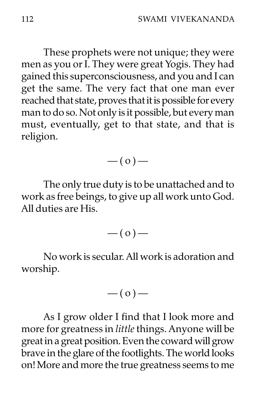These prophets were not unique; they were men as you or I. They were great Yogis. They had gained this superconsciousness, and you and I can get the same. The very fact that one man ever reached that state, proves that it is possible for every man to do so. Not only is it possible, but every man must, eventually, get to that state, and that is religion.

The only true duty is to be unattached and to work as free beings, to give up all work unto God. All duties are His.

 $(\circ)$  –

No work is secular. All work is adoration and worship.

 $(\circ)$  –

 $(\circ)$  –

As I grow older I find that I look more and more for greatness in little things. Anyone will be great in a great position. Even the coward will grow brave in the glare of the footlights. The world looks on! More and more the true greatness seems to me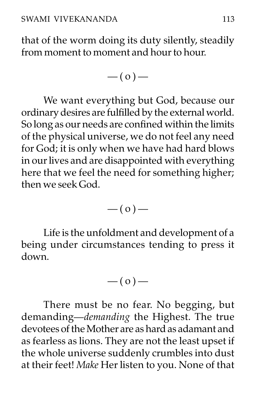that of the worm doing its duty silently, steadily from moment to moment and hour to hour.

 $\overline{\phantom{a}}$  $\overline{\phantom{a}}$  $\overline{\phantom{a}}$  $\overline{\phantom{a}}$  $\overline{\phantom{a}}$  $\overline{\phantom{a}}$  $\overline{\phantom{a}}$  $\overline{\phantom{a}}$  $\overline{\phantom{a}}$ 

We want everything but God, because our ordinary desires are fulfilled by the external world. So long as our needs are confined within the limits of the physical universe, we do not feel any need for God; it is only when we have had hard blows in our lives and are disappointed with everything here that we feel the need for something higher; then we seek God.

 $(\circ)$  –

Life is the unfoldment and development of a being under circumstances tending to press it down.



There must be no fear. No begging, but demanding—demanding the Highest. The true devotees of the Mother are as hard as adamant and as fearless as lions. They are not the least upset if the whole universe suddenly crumbles into dust at their feet! Make Her listen to you. None of that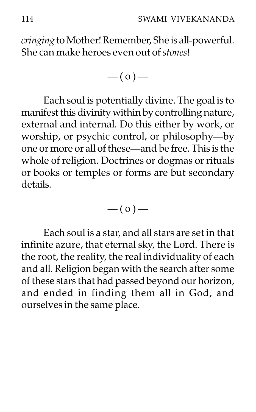cringing to Mother! Remember, She is all-powerful. She can make heroes even out of stones!

 $\overline{\phantom{a}}$  $\overline{\phantom{a}}$  $\overline{\phantom{a}}$  $\overline{\phantom{a}}$  $\overline{\phantom{a}}$  $\overline{\phantom{a}}$  $\overline{\phantom{a}}$  $\overline{\phantom{a}}$  $\overline{\phantom{a}}$ 

Each soul is potentially divine. The goal is to manifest this divinity within by controlling nature, external and internal. Do this either by work, or worship, or psychic control, or philosophy-by one or more or all of these—and be free. This is the whole of religion. Doctrines or dogmas or rituals or books or temples or forms are but secondary details.

 $(\circ)$  –

Each soul is a star, and all stars are set in that infinite azure, that eternal sky, the Lord. There is the root, the reality, the real individuality of each and all. Religion began with the search after some of these stars that had passed beyond our horizon, and ended in finding them all in God, and ourselves in the same place.